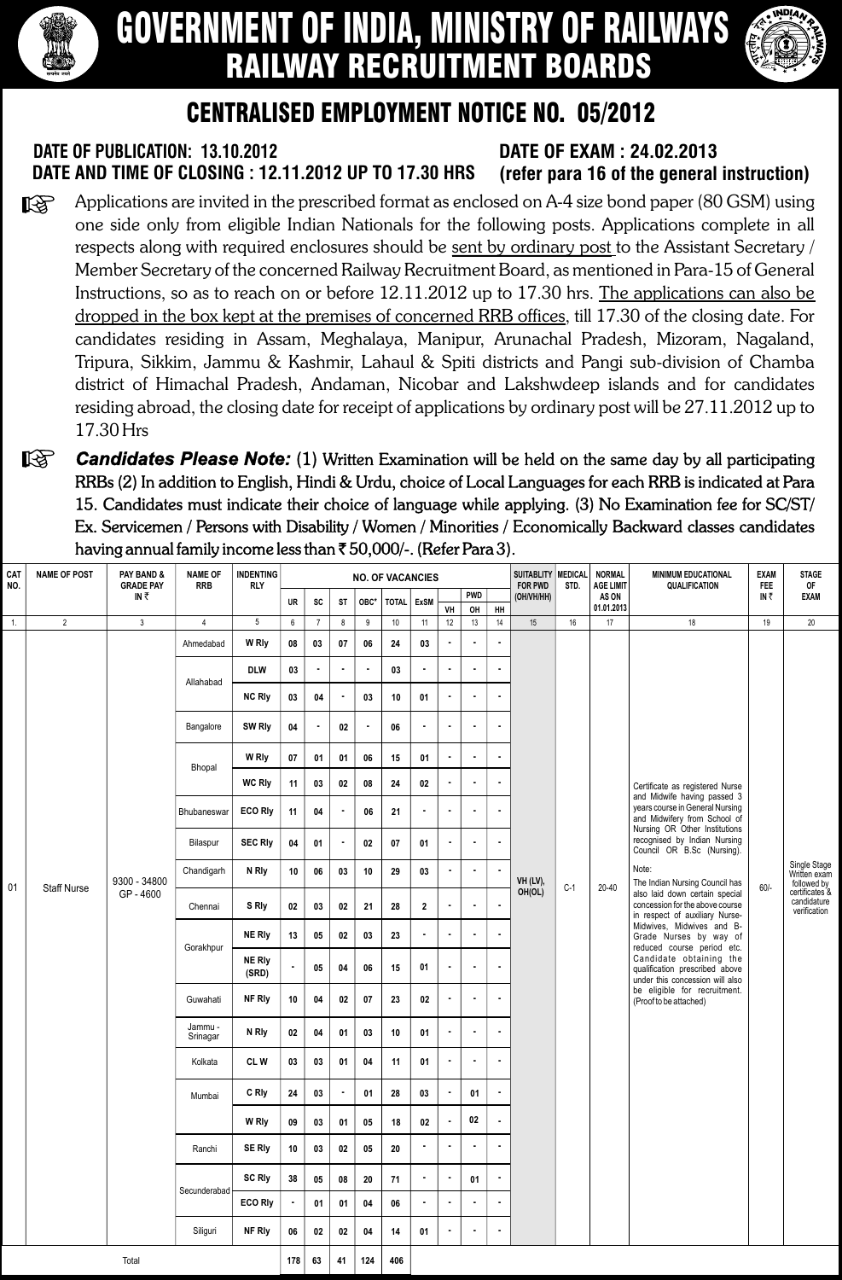

# GOVERNMENT OF INDIA, MINISTRY OF RAILWAYS RAILWAY RECRUITMENT BOARDS



# CENTRALISED EMPLOYMENT NOTICE NO. 05/2012

#### **DATE OF PUBLICATION: 13.10.2012 DATE OF EXAM : 24.02.2013 DATE AND TIME OF CLOSING : 12.11.2012 UP TO 17.30 HRS (refer para 16 of the general instruction)**

- Applications are invited in the prescribed format as enclosed on A-4 size bond paper (80 GSM) using  $\mathbb{R}$ one side only from eligible Indian Nationals for the following posts. Applications complete in all respects along with required enclosures should be sent by ordinary post to the Assistant Secretary / Member Secretary of the concerned Railway Recruitment Board, as mentioned in Para-15 of General Instructions, so as to reach on or before 12.11.2012 up to 17.30 hrs. The applications can also be dropped in the box kept at the premises of concerned RRB offices, till 17.30 of the closing date. For candidates residing in Assam, Meghalaya, Manipur, Arunachal Pradesh, Mizoram, Nagaland, Tripura, Sikkim, Jammu & Kashmir, Lahaul & Spiti districts and Pangi sub-division of Chamba district of Himachal Pradesh, Andaman, Nicobar and Lakshwdeep islands and for candidates residing abroad, the closing date for receipt of applications by ordinary post will be 27.11.2012 up to 17.30 Hrs
- *Candidates Please Note:* (1) Written Examination will be held on the same day by all participating 陉 RRBs (2) In addition to English, Hindi & Urdu, choice of Local Languages for each RRB is indicated at Para 15. Candidates must indicate their choice of language while applying. (3) No Examination fee for SC/ST/ Ex. Servicemen / Persons with Disability / Women / Minorities / Economically Backward classes candidates having annual family income less than  $\bar{\tau}$  50,000/-. (Refer Para 3).

| <b>CAT</b><br>NO.               | <b>NAME OF POST</b> | PAY BAND &<br><b>GRADE PAY</b> | <b>NAME OF</b><br><b>RRB</b> | <b>INDENTING</b><br><b>RLY</b> |                |                 |                |          | <b>NO. OF VACANCIES</b> |                |                |                                  |                | SUITABLITY MEDICAL<br><b>FOR PWD</b> | STD.  | <b>NORMAL</b><br><b>AGE LIMIT</b> | <b>MINIMUM EDUCATIONAL</b><br><b>QUALIFICATION</b>                                                                                                                                                                                          | <b>EXAM</b><br>FEE | <b>STAGE</b><br>0F                                                                           |
|---------------------------------|---------------------|--------------------------------|------------------------------|--------------------------------|----------------|-----------------|----------------|----------|-------------------------|----------------|----------------|----------------------------------|----------------|--------------------------------------|-------|-----------------------------------|---------------------------------------------------------------------------------------------------------------------------------------------------------------------------------------------------------------------------------------------|--------------------|----------------------------------------------------------------------------------------------|
|                                 |                     | IN₹                            |                              |                                | UR             | SC              | ST             | OBC*     | <b>TOTAL</b>            | ExSM           |                | <b>PWD</b>                       |                | (OH/VH/HH)                           |       | AS ON                             |                                                                                                                                                                                                                                             | IN₹                | <b>EXAM</b>                                                                                  |
|                                 | $\overline{2}$      | $\mathbf{3}$                   | $\overline{4}$               | $5\phantom{.0}$                | 6              | $\overline{7}$  | 8              | 9        | 10                      | 11             | VH<br>12       | OH<br>13                         | HH<br>14       | 15                                   | 16    | 01.01.2013<br>17                  | 18                                                                                                                                                                                                                                          | 19                 | 20                                                                                           |
| $\overline{1}$ .                |                     |                                |                              |                                |                |                 |                |          |                         |                |                |                                  |                |                                      |       |                                   |                                                                                                                                                                                                                                             |                    |                                                                                              |
|                                 |                     |                                | Ahmedabad                    | W Rly                          | 08             | 03<br>$\bullet$ | 07             | 06       | 24                      | 03             | $\bullet$      | $\blacksquare$<br>$\blacksquare$ | $\blacksquare$ |                                      |       |                                   |                                                                                                                                                                                                                                             |                    |                                                                                              |
|                                 |                     |                                | Allahabad                    | <b>DLW</b><br><b>NC Rly</b>    | 03<br>03       | 04              | $\blacksquare$ | 03       | 03<br>10                | 01             | $\bullet$      | $\blacksquare$                   | $\blacksquare$ |                                      |       |                                   |                                                                                                                                                                                                                                             |                    |                                                                                              |
|                                 |                     |                                | Bangalore                    | SW Rly                         | 04             | $\bullet$       | 02             |          | 06                      |                |                |                                  |                |                                      |       |                                   |                                                                                                                                                                                                                                             |                    |                                                                                              |
|                                 |                     |                                |                              |                                |                |                 |                |          |                         |                | $\blacksquare$ | $\bullet$                        | $\blacksquare$ |                                      |       |                                   |                                                                                                                                                                                                                                             | $60/-$             |                                                                                              |
|                                 |                     |                                | Bhopal                       | W Rly<br><b>WC Rly</b>         | $07\,$<br>11   | 01<br>03        | 01<br>02       | 06<br>08 | 15<br>24                | 01<br>$02\,$   | $\bullet$      | $\blacksquare$                   | $\blacksquare$ |                                      |       |                                   |                                                                                                                                                                                                                                             |                    |                                                                                              |
|                                 |                     |                                | Bhubaneswar                  | <b>ECO Rly</b>                 | 11             | 04              | $\blacksquare$ | 06       | 21                      |                | $\blacksquare$ | $\blacksquare$                   | $\blacksquare$ |                                      |       |                                   | Certificate as registered Nurse<br>and Midwife having passed 3<br>years course in General Nursing                                                                                                                                           |                    |                                                                                              |
|                                 |                     |                                |                              |                                |                |                 |                |          |                         |                |                |                                  |                |                                      |       |                                   | and Midwifery from School of<br>Nursing OR Other Institutions                                                                                                                                                                               |                    |                                                                                              |
|                                 |                     |                                | Bilaspur                     | <b>SEC RIy</b>                 | 04             | 01              | $\blacksquare$ | 02       | 07                      | 01             | $\bullet$      | $\bullet$                        | $\bullet$      |                                      |       |                                   | recognised by Indian Nursing<br>Council OR B.Sc (Nursing).                                                                                                                                                                                  |                    | Single Stage<br>Written exam<br>followed by<br>certificates &<br>candidature<br>verification |
| 01                              | <b>Staff Nurse</b>  | 9300 - 34800                   | Chandigarh                   | N Rly                          | 10             | 06              | 03             | 10       | 29                      | 03             |                | $\blacksquare$                   | $\bullet$      | VH (LV),                             | $C-1$ | $20 - 40$                         | Note:<br>The Indian Nursing Council has                                                                                                                                                                                                     |                    |                                                                                              |
|                                 |                     | GP-4600                        | Chennai                      | S Rly                          | 02             | 03              | 02             | 21       | 28                      | $\mathbf{2}$   | $\blacksquare$ | $\sim$                           | $\blacksquare$ | OH(OL)                               |       |                                   | also laid down certain special<br>concession for the above course<br>in respect of auxiliary Nurse-                                                                                                                                         |                    |                                                                                              |
|                                 |                     |                                | Gorakhpur                    | <b>NE Rly</b>                  | 13             | 05              | 02             | 03       | 23                      | $\bullet$      | $\sim$         | $\bullet$                        | $\bullet$      |                                      |       |                                   | Midwives, Midwives and B-<br>Grade Nurses by way of<br>reduced course period etc.<br>Candidate obtaining the<br>qualification prescribed above<br>under this concession will also<br>be eligible for recruitment.<br>(Proof to be attached) |                    |                                                                                              |
|                                 |                     |                                |                              | <b>NE Rly</b><br>(SRD)         | $\blacksquare$ | 05              | 04             | 06       | 15                      | 01             |                | $\blacksquare$                   | $\bullet$      |                                      |       |                                   |                                                                                                                                                                                                                                             |                    |                                                                                              |
|                                 |                     |                                | Guwahati                     | NF Rly                         | 10             | 04              | 02             | 07       | 23                      | 02             |                | $\blacksquare$                   | $\bullet$      |                                      |       |                                   |                                                                                                                                                                                                                                             |                    |                                                                                              |
|                                 |                     |                                | Jammu -<br>Srinagar          | N Rly                          | 02             | 04              | 01             | 03       | 10                      | 01             |                | $\blacksquare$                   | $\sim$         |                                      |       |                                   |                                                                                                                                                                                                                                             |                    |                                                                                              |
|                                 |                     |                                | Kolkata                      | <b>CLW</b>                     | 03             | 03              | 01             | 04       | 11                      | 01             |                | $\blacksquare$                   |                |                                      |       |                                   |                                                                                                                                                                                                                                             |                    |                                                                                              |
|                                 |                     |                                | Mumbai                       | C Rly                          | 24             | 03              |                | 01       | 28                      | 03             |                | 01                               |                |                                      |       |                                   |                                                                                                                                                                                                                                             |                    |                                                                                              |
|                                 |                     |                                |                              | W Rly                          | 09             | 03              | 01             | 05       | 18                      | 02             | $\bullet$      | 02                               | $\bullet$      |                                      |       |                                   |                                                                                                                                                                                                                                             |                    |                                                                                              |
|                                 |                     |                                | Ranchi                       | <b>SE Rly</b>                  | 10             | 03              | 02             | 05       | 20                      | $\blacksquare$ | $\blacksquare$ |                                  |                |                                      |       |                                   |                                                                                                                                                                                                                                             |                    |                                                                                              |
|                                 |                     |                                | Secunderabad                 | <b>SC Rly</b>                  | 38             | 05              | 08             | 20       | 71                      | $\blacksquare$ | $\blacksquare$ | 01                               | $\sim$         |                                      |       |                                   |                                                                                                                                                                                                                                             |                    |                                                                                              |
|                                 |                     |                                |                              | <b>ECO Rly</b>                 | $\blacksquare$ | 01              | 01             | 04       | 06                      | $\bullet$      | $\bullet$      | $\blacksquare$                   | $\blacksquare$ |                                      |       |                                   |                                                                                                                                                                                                                                             |                    |                                                                                              |
|                                 |                     |                                | Siliguri                     | NF Rly                         | 06             | 02              | 02             | 04       | 14                      | 01             | $\blacksquare$ | $\sim$                           | $\bullet$      |                                      |       |                                   |                                                                                                                                                                                                                                             |                    |                                                                                              |
| Total<br>178<br>41<br>124<br>63 |                     |                                |                              |                                |                |                 |                |          |                         |                |                |                                  |                |                                      |       |                                   |                                                                                                                                                                                                                                             |                    |                                                                                              |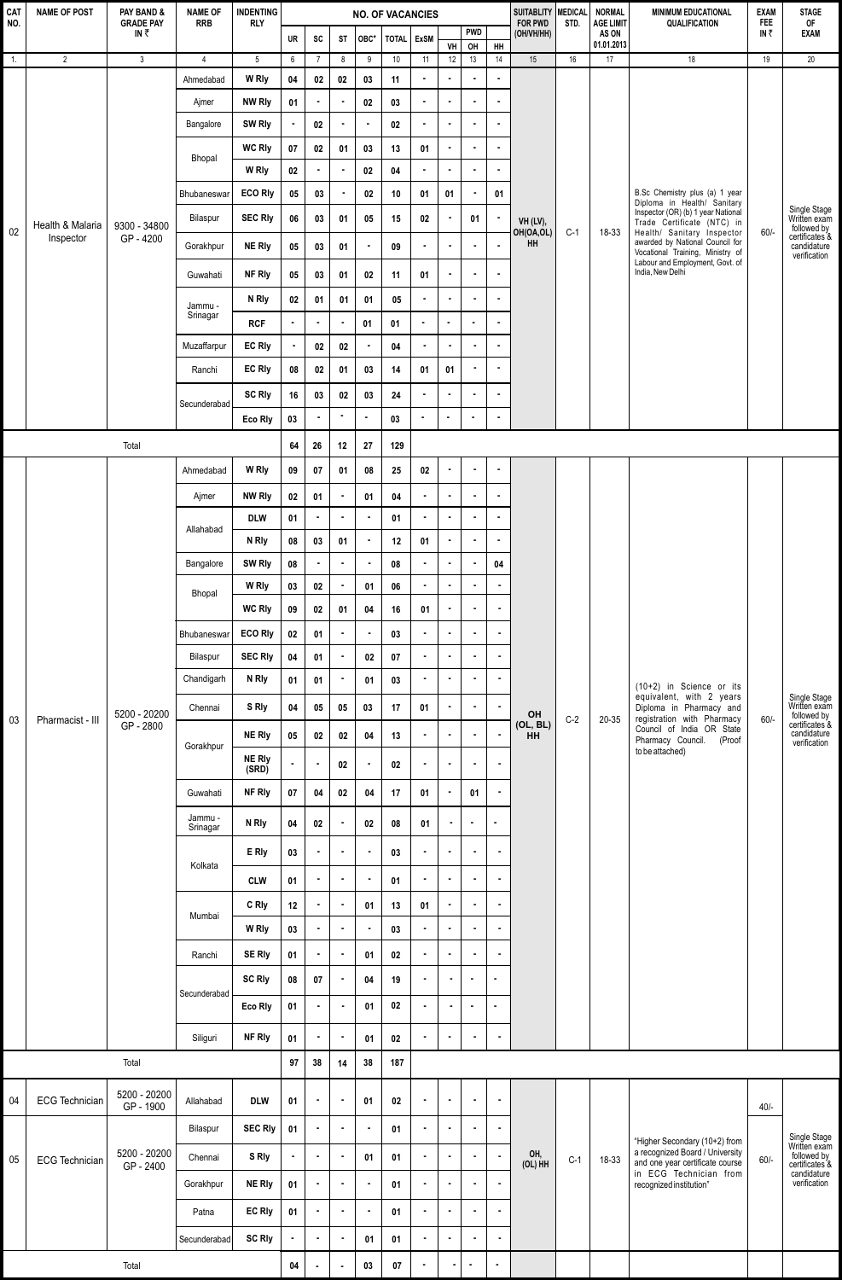| <b>CAT</b><br>NO. | <b>NAME OF POST</b>           | PAY BAND &<br><b>GRADE PAY</b> | <b>NAME OF</b><br><b>INDENTING</b><br><b>NO. OF VACANCIES</b><br><b>RRB</b><br><b>RLY</b> |                        |                | SUITABLITY   MEDICAL  <br><b>FOR PWD</b> | STD.           | NORMAL<br><b>AGE LIMIT</b> | <b>MINIMUM EDUCATIONAL</b><br><b>QUALIFICATION</b> | EXAM<br><b>FEE</b> | <b>STAGE</b><br>0F |                  |                       |                 |       |                     |                                                                                                                                                                                              |        |                                                                                              |
|-------------------|-------------------------------|--------------------------------|-------------------------------------------------------------------------------------------|------------------------|----------------|------------------------------------------|----------------|----------------------------|----------------------------------------------------|--------------------|--------------------|------------------|-----------------------|-----------------|-------|---------------------|----------------------------------------------------------------------------------------------------------------------------------------------------------------------------------------------|--------|----------------------------------------------------------------------------------------------|
|                   |                               | IN₹                            |                                                                                           |                        | UR             | SC                                       | <b>ST</b>      | OBC*                       | TOTAL ExSM                                         |                    | VH                 | <b>PWD</b><br>OH | $H$ H                 | (OH/VH/HH)      |       | AS ON<br>01.01.2013 |                                                                                                                                                                                              | IN₹    | <b>EXAM</b>                                                                                  |
| $\overline{1}$ .  | $\overline{2}$                | $\mathbf{3}$                   | $\overline{4}$                                                                            | 5                      | 6              | $7\overline{ }$                          | 8              | 9                          | 10                                                 | 11                 | 12                 | 13               | 14                    | 15              | 16    | 17                  | 18                                                                                                                                                                                           | 19     | 20                                                                                           |
|                   |                               |                                | Ahmedabad                                                                                 | W Rly                  | 04             | 02                                       | $02\,$         | 03                         | 11                                                 | $\bullet$          | $\bullet$          | $\blacksquare$   | $\bullet$             |                 |       |                     |                                                                                                                                                                                              |        |                                                                                              |
|                   |                               |                                | Ajmer                                                                                     | <b>NW Rly</b>          | 01             | $\blacksquare$                           | $\bullet$      | ${\bf 02}$                 | 03                                                 |                    | $\bullet$          | $\bullet$        | $\blacksquare$        |                 |       |                     |                                                                                                                                                                                              |        |                                                                                              |
|                   |                               |                                | Bangalore                                                                                 | SW Rly                 |                | 02                                       | $\blacksquare$ | ×                          | 02                                                 |                    | $\blacksquare$     | $\mathbf{r}$     | $\blacksquare$        |                 |       |                     |                                                                                                                                                                                              |        |                                                                                              |
|                   |                               |                                | Bhopal                                                                                    | <b>WC Rly</b>          | $07\,$         | $02\,$                                   | 01             | 03                         | 13                                                 | 01                 | $\blacksquare$     | $\bullet$        | ä,                    |                 |       |                     | B.Sc Chemistry plus (a) 1 year<br>Diploma in Health/ Sanitary<br>Inspector (OR) (b) 1 year National<br>Trade Certificate (NTC) in                                                            |        |                                                                                              |
|                   |                               |                                |                                                                                           | W Rly                  | $02\,$         | $\bullet$                                | $\bullet$      | $\bf 02$                   | 04                                                 | $\blacksquare$     | $\bullet$          | $\bullet$        | $\bullet$             |                 |       |                     |                                                                                                                                                                                              |        |                                                                                              |
|                   |                               |                                | Bhubaneswar                                                                               | <b>ECO Rly</b>         | 05             | 03                                       | $\bullet$      | $02\,$                     | 10                                                 | 01                 | 01                 | $\blacksquare$   | 01                    |                 |       |                     |                                                                                                                                                                                              |        |                                                                                              |
|                   |                               |                                | Bilaspur                                                                                  | <b>SEC Rly</b>         | 06             | 03                                       | 01             | 05                         | 15                                                 | 02                 | $\blacksquare$     | 01               | $\bullet$             | VH (LV),        |       |                     |                                                                                                                                                                                              |        | Single Stage<br>Written exam                                                                 |
| 02                | Health & Malaria<br>Inspector | 9300 - 34800<br>GP-4200        | Gorakhpur                                                                                 | <b>NE Rly</b>          | 05             |                                          |                |                            | 09                                                 |                    | $\blacksquare$     | ٠                | $\bullet$             | OH(OA,OL)<br>HH | $C-1$ | 18-33               | Health/ Sanitary Inspector<br>awarded by National Council for                                                                                                                                | $60/-$ | followed by<br>certificates &<br>candidature                                                 |
|                   |                               |                                |                                                                                           |                        |                | 03                                       | 01             |                            |                                                    |                    |                    |                  |                       |                 |       |                     | Vocational Training, Ministry of<br>Labour and Employment, Govt. of                                                                                                                          |        | verification                                                                                 |
|                   |                               |                                | Guwahati                                                                                  | NF Rly                 | 05             | 03                                       | 01             | 02                         | 11                                                 | 01                 | $\blacksquare$     | $\bullet$        | $\blacksquare$        |                 |       |                     | India, New Delhi                                                                                                                                                                             |        |                                                                                              |
|                   |                               |                                | Jammu -                                                                                   | N Rly                  | $02\,$         | 01                                       | 01             | 01                         | 05                                                 | $\blacksquare$     | $\bullet$          | $\blacksquare$   | $\bullet$             |                 |       |                     |                                                                                                                                                                                              |        |                                                                                              |
|                   |                               |                                | Srinagar                                                                                  | <b>RCF</b>             | $\bullet$      | $\bullet$                                | $\blacksquare$ | 01                         | 01                                                 | ×                  | $\blacksquare$     | $\blacksquare$   | $\hat{\mathbf{r}}$    |                 |       |                     |                                                                                                                                                                                              |        |                                                                                              |
|                   |                               |                                | Muzaffarpur                                                                               | <b>EC Rly</b>          |                | $02\,$                                   | 02             |                            | 04                                                 |                    | $\blacksquare$     | ٠                | $\bullet$             |                 |       |                     |                                                                                                                                                                                              |        |                                                                                              |
|                   |                               |                                | Ranchi                                                                                    | <b>EC Rly</b>          | 08             | $02\phantom{a}$                          | 01             | 03                         | 14                                                 | 01                 | 01                 | $\blacksquare$   | $\blacksquare$        |                 |       |                     |                                                                                                                                                                                              |        |                                                                                              |
|                   |                               |                                | Secunderabad                                                                              | <b>SC Rly</b>          | 16             | 03                                       | 02             | 03                         | 24                                                 |                    |                    | $\mathbf{r}$     | $\blacksquare$        |                 |       |                     |                                                                                                                                                                                              |        |                                                                                              |
|                   |                               |                                |                                                                                           | Eco Rly                | 03             |                                          | $\bullet$      | $\bullet$                  | 03                                                 | ×                  | $\bullet$          | $\bullet$        | $\tilde{\phantom{a}}$ |                 |       |                     |                                                                                                                                                                                              |        |                                                                                              |
|                   |                               | Total                          |                                                                                           |                        | 64             | 26                                       | 12             | 27                         | 129                                                |                    |                    |                  |                       |                 |       |                     |                                                                                                                                                                                              |        |                                                                                              |
|                   |                               |                                | Ahmedabad                                                                                 | W Rly                  | 09             | 07                                       | 01             | 08                         | 25                                                 | $02\phantom{a}$    | $\bullet$          | $\blacksquare$   | $\bullet$             |                 |       |                     |                                                                                                                                                                                              |        |                                                                                              |
|                   |                               |                                | Ajmer                                                                                     | <b>NW Rly</b>          | 02             | 01                                       | $\blacksquare$ | 01                         | 04                                                 |                    | $\blacksquare$     | $\blacksquare$   | $\bullet$             |                 |       |                     |                                                                                                                                                                                              |        |                                                                                              |
|                   |                               |                                |                                                                                           | <b>DLW</b>             | 01             |                                          | $\blacksquare$ |                            | 01                                                 | $\blacksquare$     | $\blacksquare$     | $\blacksquare$   | $\blacksquare$        |                 |       |                     |                                                                                                                                                                                              |        |                                                                                              |
|                   |                               |                                | Allahabad                                                                                 | N Rly                  | 08             | 03                                       | 01             | $\bullet$                  | 12                                                 | 01                 | $\bullet$          | $\bullet$        | $\bullet$             |                 |       |                     |                                                                                                                                                                                              |        |                                                                                              |
|                   |                               |                                | Bangalore                                                                                 | SW Rly                 | $08\,$         |                                          | $\bullet$      | $\blacksquare$             | 08                                                 | $\blacksquare$     | $\bullet$          | $\blacksquare$   | 04                    |                 |       |                     |                                                                                                                                                                                              |        |                                                                                              |
|                   |                               |                                |                                                                                           | W Rly                  | $03\,$         | 02                                       | $\blacksquare$ | 01                         | 06                                                 | ×                  | $\bullet$          | $\blacksquare$   | $\bullet$             |                 |       |                     |                                                                                                                                                                                              |        |                                                                                              |
|                   |                               |                                | Bhopal                                                                                    | <b>WC Rly</b>          | 09             | 02                                       | 01             | 04                         | 16                                                 | 01                 | $\blacksquare$     | $\bullet$        | $\sim$                |                 |       |                     |                                                                                                                                                                                              |        |                                                                                              |
|                   |                               |                                | Bhubaneswar                                                                               | <b>ECO Rly</b>         | 02             | 01                                       | $\bullet$      | $\blacksquare$             | 03                                                 | $\bullet$          | $\blacksquare$     | $\blacksquare$   | $\blacksquare$        |                 |       |                     |                                                                                                                                                                                              |        |                                                                                              |
|                   |                               |                                | Bilaspur                                                                                  | <b>SEC Rly</b>         | 04             | 01                                       | $\bullet$      | 02                         | 07                                                 | $\bullet$          | $\bullet$          | $\bullet$        | $\bullet$             |                 |       |                     |                                                                                                                                                                                              |        |                                                                                              |
|                   |                               |                                | Chandigarh                                                                                | N Rly                  | 01             | 01                                       | $\bullet$      | 01                         | 03                                                 | ٠                  | $\bullet$          | $\bullet$        | $\bullet$             |                 |       |                     |                                                                                                                                                                                              | $60/-$ | Single Stage<br>Written exam<br>followed by<br>certificates &<br>candidature<br>verification |
|                   |                               |                                | Chennai                                                                                   | S Rly                  | 04             | 05                                       | 05             | 03                         | 17                                                 | 01                 | $\blacksquare$     | $\blacksquare$   | $\sim$                |                 |       | 20-35               | (10+2) in Science or its<br>equivalent, with 2 years<br>Diploma in Pharmacy and<br>registration with Pharmacy<br>Council of India OR State<br>Pharmacy Council.<br>(Proof<br>to be attached) |        |                                                                                              |
| 03                | Pharmacist - III              | 5200 - 20200<br>GP - 2800      |                                                                                           |                        |                |                                          |                |                            |                                                    |                    |                    |                  |                       | OH<br>(OL, BL)  | $C-2$ |                     |                                                                                                                                                                                              |        |                                                                                              |
|                   |                               |                                | Gorakhpur                                                                                 | <b>NE Rly</b>          | 05             | 02                                       | 02             | 04                         | 13                                                 | $\bullet$          | $\bullet$          | $\bullet$        | $\bullet$             | <b>HH</b>       |       |                     |                                                                                                                                                                                              |        |                                                                                              |
|                   |                               |                                |                                                                                           | <b>NE Rly</b><br>(SRD) | $\blacksquare$ | $\blacksquare$                           | 02             | ٠.                         | 02                                                 | $\blacksquare$     | $\bullet$          | $\bullet$        | $\bullet$             |                 |       |                     |                                                                                                                                                                                              |        |                                                                                              |
|                   |                               |                                | Guwahati                                                                                  | NF Rly                 | 07             | 04                                       | 02             | 04                         | 17                                                 | 01                 | $\bullet$          | 01               | $\blacksquare$        |                 |       |                     |                                                                                                                                                                                              |        |                                                                                              |
|                   |                               |                                | Jammu -<br>Srinagar                                                                       | N Rly                  | 04             | 02                                       | $\blacksquare$ | 02                         | 08                                                 | 01                 | $\blacksquare$     | $\bullet$        | $\blacksquare$        |                 |       |                     |                                                                                                                                                                                              |        |                                                                                              |
|                   |                               |                                | Kolkata                                                                                   | E Rly                  | 03             |                                          | $\blacksquare$ | $\blacksquare$             | 03                                                 | $\blacksquare$     | $\blacksquare$     | $\blacksquare$   | $\sim$                |                 |       |                     |                                                                                                                                                                                              |        |                                                                                              |
|                   |                               |                                |                                                                                           | <b>CLW</b>             | 01             | $\bullet$                                | $\blacksquare$ | $\blacksquare$             | 01                                                 |                    | $\blacksquare$     | $\bullet$        | $\bullet$             |                 |       |                     |                                                                                                                                                                                              |        |                                                                                              |
|                   |                               |                                |                                                                                           | C Rly                  | 12             | $\bullet$                                | $\bullet$      | 01                         | 13                                                 | 01                 | $\blacksquare$     | $\blacksquare$   | $\blacksquare$        |                 |       |                     |                                                                                                                                                                                              |        |                                                                                              |
|                   |                               |                                | Mumbai                                                                                    | W Rly                  | 03             | $\bullet$                                | $\bullet$      | $\blacksquare$             | 03                                                 | $\bullet$          | $\bullet$          | $\mathbf{r}$     | $\bullet$             |                 |       |                     |                                                                                                                                                                                              |        |                                                                                              |
|                   |                               |                                | Ranchi                                                                                    | <b>SE Rly</b>          | 01             | $\bullet$                                | $\bullet$      | 01                         | 02                                                 | $\bullet$          | $\bullet$          | $\bullet$        | $\bullet$             |                 |       |                     |                                                                                                                                                                                              |        |                                                                                              |
|                   |                               |                                |                                                                                           | SC Rly                 | 08             | 07                                       | $\bullet$      | 04                         | 19                                                 | $\blacksquare$     |                    | $\bullet$        |                       |                 |       |                     |                                                                                                                                                                                              |        |                                                                                              |
|                   |                               |                                | Secunderabad                                                                              | Eco Rly                | 01             | $\bullet$                                | $\bullet$      | 01                         | 02                                                 | $\blacksquare$     | $\blacksquare$     | $\bullet$        | $\blacksquare$        |                 |       |                     |                                                                                                                                                                                              |        |                                                                                              |
|                   |                               |                                |                                                                                           |                        |                |                                          |                |                            |                                                    |                    |                    |                  |                       |                 |       |                     |                                                                                                                                                                                              |        |                                                                                              |
|                   |                               |                                | Siliguri                                                                                  | NF Rly                 | 01             |                                          | $\blacksquare$ | 01                         | 02                                                 | $\bullet$          | $\blacksquare$     | $\bullet$        | $\sim$                |                 |       |                     |                                                                                                                                                                                              |        |                                                                                              |
|                   |                               | Total                          |                                                                                           |                        | 97             | 38                                       | 14             | 38                         | 187                                                |                    |                    |                  |                       |                 |       |                     |                                                                                                                                                                                              |        |                                                                                              |
| 04                | <b>ECG Technician</b>         | 5200 - 20200<br>GP - 1900      | Allahabad                                                                                 | <b>DLW</b>             | 01             | $\bullet$                                | $\bullet$      | 01                         | 02                                                 | $\bullet$          | $\blacksquare$     | $\bullet$        | $\bullet$             |                 |       |                     |                                                                                                                                                                                              | $40/-$ |                                                                                              |
|                   |                               |                                | Bilaspur                                                                                  | <b>SEC Rly</b>         | 01             |                                          | $\bullet$      | $\bullet$                  | 01                                                 | $\bullet$          | $\blacksquare$     | $\bullet$        | $\blacksquare$        |                 |       |                     | "Higher Secondary (10+2) from                                                                                                                                                                |        | Single Stage<br>Written exam                                                                 |
| 05                | <b>ECG Technician</b>         | 5200 - 20200<br>GP - 2400      | Chennai                                                                                   | S Rly                  | $\bullet$      | $\bullet$                                | $\blacksquare$ | 01                         | 01                                                 | $\bullet$          | $\bullet$          | $\bullet$        | $\bullet$             | OH,<br>(OL) HH  | $C-1$ | 18-33               | a recognized Board / University<br>and one year certificate course                                                                                                                           | $60/-$ | followed by<br>certificates &                                                                |
|                   |                               |                                | Gorakhpur                                                                                 | <b>NE Rly</b>          | 01             | $\bullet$                                | $\bullet$      | $\bullet$                  | 01                                                 | $\blacksquare$     | $\blacksquare$     | $\blacksquare$   | $\bullet$             |                 |       |                     | in ECG Technician from<br>recognized institution"                                                                                                                                            |        | candidature<br>verification                                                                  |
|                   |                               |                                | Patna                                                                                     | EC Rly                 | 01             | $\blacksquare$                           | $\bullet$      | $\blacksquare$             | 01                                                 | $\bullet$          | $\bullet$          | $\sim$           | $\bullet$             |                 |       |                     |                                                                                                                                                                                              |        |                                                                                              |
|                   |                               |                                | Secunderabad                                                                              | <b>SC Rly</b>          | $\bullet$      | $\blacksquare$                           | $\bullet$      | 01                         | 01                                                 | $\blacksquare$     | $\bullet$          | $\mathbf{r}$     | $\bullet$             |                 |       |                     |                                                                                                                                                                                              |        |                                                                                              |
|                   |                               |                                |                                                                                           |                        | 04             | ×                                        | $\bullet$      | 03                         | $07\,$                                             | $\blacksquare$     | $\bullet$          | $\bullet$        | $\bullet$             |                 |       |                     |                                                                                                                                                                                              |        |                                                                                              |
| Total             |                               |                                |                                                                                           |                        |                |                                          |                |                            |                                                    |                    |                    |                  |                       |                 |       |                     |                                                                                                                                                                                              |        |                                                                                              |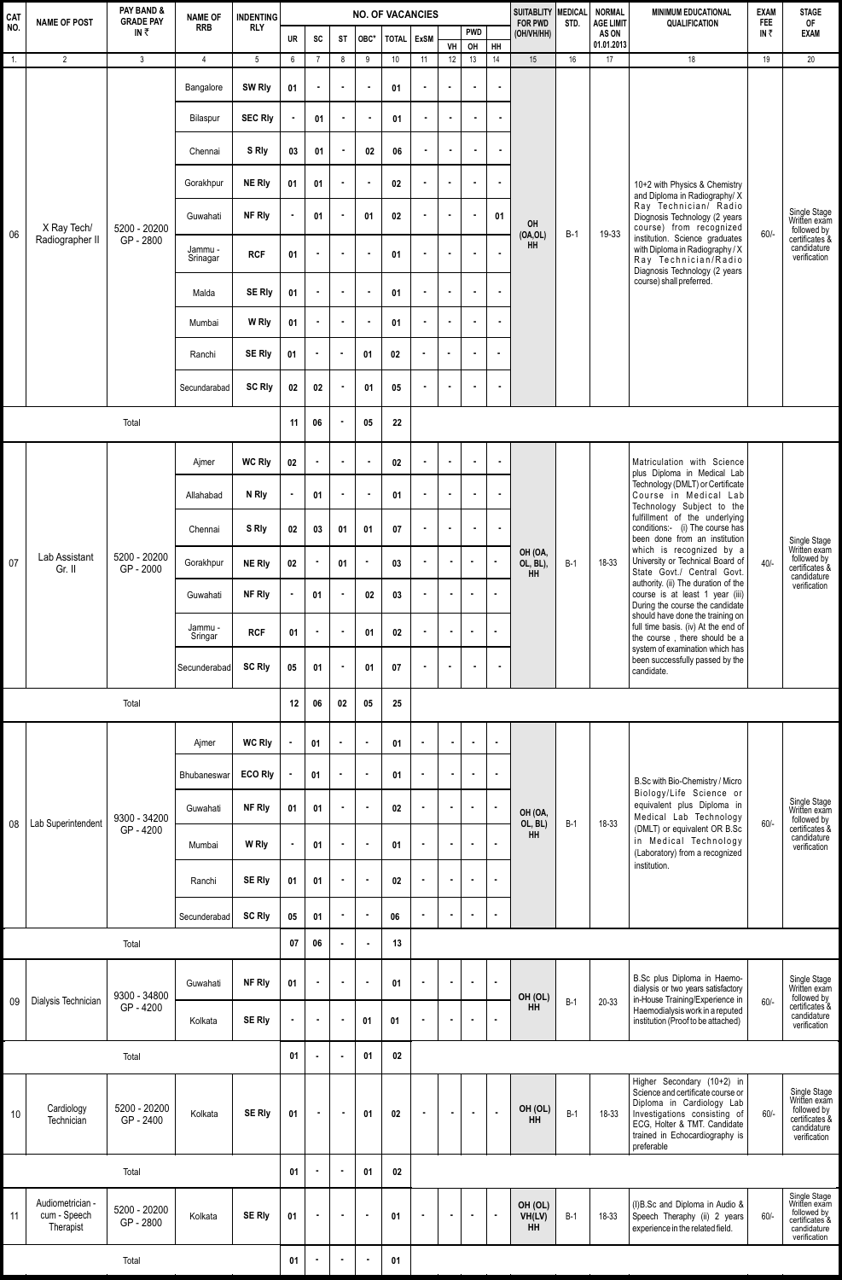| CAT<br><b>NAME OF POST</b><br>NO. |                                               | PAY BAND &<br><b>GRADE PAY</b> | <b>NAME OF</b><br><b>RRB</b> | <b>INDENTING</b> | <b>NO. OF VACANCIES</b> |                |                |                |              |                |                |                  |                | SUITABLITY MEDICAL<br><b>FOR PWD</b> | STD.  | <b>NORMAL</b><br><b>AGE LIMIT</b> | <b>MINIMUM EDUCATIONAL</b><br><b>QUALIFICATION</b>                                                                                                                                                                                                                                                           | <b>EXAM</b><br><b>FEE</b> | <b>STAGE</b><br>0F                                                                           |
|-----------------------------------|-----------------------------------------------|--------------------------------|------------------------------|------------------|-------------------------|----------------|----------------|----------------|--------------|----------------|----------------|------------------|----------------|--------------------------------------|-------|-----------------------------------|--------------------------------------------------------------------------------------------------------------------------------------------------------------------------------------------------------------------------------------------------------------------------------------------------------------|---------------------------|----------------------------------------------------------------------------------------------|
|                                   |                                               | IN₹                            |                              | <b>RLY</b>       | UR                      | SC             | ST             | OBC*           | <b>TOTAL</b> | <b>ExSM</b>    | VH             | <b>PWD</b><br>OH | HH             | (OH/VH/HH)                           |       | AS ON<br>01.01.2013               |                                                                                                                                                                                                                                                                                                              | IN $\bar{z}$              | <b>EXAM</b>                                                                                  |
| $\overline{1}$ .                  | $\overline{2}$                                | $\mathsf 3$                    | $\overline{4}$               | $5\phantom{.0}$  | 6                       | $\overline{7}$ | 8              | 9              | 10           | 11             | 12             | 13               | 14             | 15                                   | 16    | 17                                | 18                                                                                                                                                                                                                                                                                                           | 19                        | 20                                                                                           |
|                                   |                                               |                                | Bangalore                    | SW Rly           | 01                      | $\blacksquare$ | $\blacksquare$ | $\blacksquare$ | 01           |                | $\blacksquare$ | ×                | $\blacksquare$ |                                      |       |                                   |                                                                                                                                                                                                                                                                                                              |                           |                                                                                              |
|                                   |                                               |                                | Bilaspur                     | <b>SEC Rly</b>   |                         | 01             | $\blacksquare$ | $\blacksquare$ | 01           |                | $\blacksquare$ | $\bullet$        | $\blacksquare$ |                                      |       |                                   |                                                                                                                                                                                                                                                                                                              |                           |                                                                                              |
|                                   |                                               |                                | Chennai                      | S Rly            | 03                      | 01             | $\blacksquare$ | 02             | 06           |                |                | $\blacksquare$   | ×              |                                      |       |                                   | 10+2 with Physics & Chemistry<br>and Diploma in Radiography/X<br>Ray Technician/ Radio<br>Diognosis Technology (2 years<br>course) from recognized<br>institution. Science graduates<br>with Diploma in Radiography / X<br>Ray Technician/Radio<br>Diagnosis Technology (2 years<br>course) shall preferred. |                           |                                                                                              |
|                                   |                                               |                                | Gorakhpur                    | <b>NE Rly</b>    | 01                      | 01             | $\blacksquare$ | $\blacksquare$ | 02           | $\blacksquare$ | $\blacksquare$ | ×                | $\blacksquare$ |                                      |       |                                   |                                                                                                                                                                                                                                                                                                              |                           | Single Stage<br>Written exam<br>followed by<br>certificates &<br>candidature<br>verification |
|                                   | X Ray Tech/                                   | 5200 - 20200                   | Guwahati                     | <b>NF Rly</b>    |                         | 01             | $\blacksquare$ | 01             | 02           |                |                | $\blacksquare$   | 01             | OH                                   |       |                                   |                                                                                                                                                                                                                                                                                                              | $60/-$                    |                                                                                              |
| 06                                | Radiographer II                               | GP - 2800                      | Jammu -<br>Srinagar          | <b>RCF</b>       | 01                      | $\bullet$      | $\blacksquare$ | $\blacksquare$ | 01           | $\blacksquare$ | $\blacksquare$ | $\blacksquare$   | $\blacksquare$ | (OA, OL)<br><b>HH</b>                | $B-1$ | 19-33                             |                                                                                                                                                                                                                                                                                                              |                           |                                                                                              |
|                                   |                                               |                                | Malda                        | <b>SE Rly</b>    | 01                      | $\blacksquare$ | $\bullet$      | $\blacksquare$ | 01           | ٠              | $\blacksquare$ | ×                | $\blacksquare$ |                                      |       |                                   |                                                                                                                                                                                                                                                                                                              |                           |                                                                                              |
|                                   |                                               |                                | Mumbai                       | W Rly            | 01                      | $\sim$         | $\blacksquare$ |                | 01           |                |                | $\blacksquare$   | $\bullet$      |                                      |       |                                   |                                                                                                                                                                                                                                                                                                              |                           |                                                                                              |
|                                   |                                               |                                | Ranchi                       | <b>SE Rly</b>    | 01                      | $\blacksquare$ | $\blacksquare$ | 01             | 02           | $\blacksquare$ | $\blacksquare$ | $\blacksquare$   | $\blacksquare$ |                                      |       |                                   |                                                                                                                                                                                                                                                                                                              |                           |                                                                                              |
|                                   |                                               |                                | Secundarabad                 | <b>SC Rly</b>    | 02                      | 02             | $\blacksquare$ | 01             | 05           |                |                |                  | $\blacksquare$ |                                      |       |                                   |                                                                                                                                                                                                                                                                                                              |                           |                                                                                              |
|                                   |                                               | Total                          |                              |                  | 11                      | 06             | $\blacksquare$ | 05             | 22           |                |                |                  |                |                                      |       |                                   |                                                                                                                                                                                                                                                                                                              |                           |                                                                                              |
|                                   |                                               |                                | Ajmer                        | <b>WC Rly</b>    | 02                      | $\blacksquare$ | $\bullet$      | $\blacksquare$ | 02           |                | $\blacksquare$ | $\bullet$        | $\bullet$      |                                      |       |                                   | Matriculation with Science                                                                                                                                                                                                                                                                                   |                           |                                                                                              |
|                                   |                                               |                                | Allahabad                    | N Rly            |                         | 01             | $\blacksquare$ |                | 01           |                | $\blacksquare$ | ×                | $\blacksquare$ |                                      |       |                                   | plus Diploma in Medical Lab<br>Technology (DMLT) or Certificate<br>Course in Medical Lab<br>Technology Subject to the                                                                                                                                                                                        |                           |                                                                                              |
|                                   |                                               |                                | Chennai                      | S Rly            | 02                      | 03             | 01             | 01             | 07           |                | $\blacksquare$ | $\bullet$        | $\bullet$      |                                      |       |                                   | fulfillment of the underlying<br>conditions:- (i) The course has<br>been done from an institution                                                                                                                                                                                                            |                           | Single Stage<br>Written exam<br>followed by<br>certificates &<br>candidature<br>verification |
| 07                                | Lab Assistant<br>Gr. II                       | 5200 - 20200<br>GP - 2000      | Gorakhpur                    | <b>NE Rly</b>    | 02                      | $\blacksquare$ | 01             | $\blacksquare$ | 03           | $\blacksquare$ | $\bullet$      | $\blacksquare$   | $\bullet$      | OH (OA,<br>OL, BL),<br>HH            | $B-1$ | 18-33                             | which is recognized by a<br>University or Technical Board of<br>State Govt./ Central Govt.                                                                                                                                                                                                                   | $40/-$                    |                                                                                              |
|                                   |                                               |                                | Guwahati                     | NF Rly           |                         | 01             | $\blacksquare$ | 02             | 03           |                |                | $\blacksquare$   | $\bullet$      |                                      |       |                                   | authority. (ii) The duration of the<br>course is at least 1 year (iii)<br>During the course the candidate                                                                                                                                                                                                    |                           |                                                                                              |
|                                   |                                               |                                | Jammu -<br>Sringar           | <b>RCF</b>       | 01                      | $\blacksquare$ | $\blacksquare$ | 01             | 02           | $\blacksquare$ | $\blacksquare$ | $\blacksquare$   | $\blacksquare$ |                                      |       |                                   | should have done the training on<br>full time basis. (iv) At the end of<br>the course, there should be a<br>system of examination which has                                                                                                                                                                  |                           |                                                                                              |
|                                   |                                               |                                | Secunderabad                 | <b>SC Rly</b>    | 05                      | 01             | $\blacksquare$ | 01             | 07           | $\blacksquare$ | $\blacksquare$ | $\blacksquare$   | $\blacksquare$ |                                      |       |                                   | been successfully passed by the<br>candidate.                                                                                                                                                                                                                                                                |                           |                                                                                              |
|                                   |                                               | Total                          |                              |                  | 12                      | 06             | 02             | 05             | 25           |                |                |                  |                |                                      |       |                                   |                                                                                                                                                                                                                                                                                                              |                           |                                                                                              |
|                                   |                                               |                                | Ajmer                        | <b>WC Rly</b>    |                         | 01             | $\bullet$      | $\blacksquare$ | 01           | $\blacksquare$ |                | $\blacksquare$   | $\bullet$      |                                      |       |                                   |                                                                                                                                                                                                                                                                                                              |                           |                                                                                              |
|                                   |                                               |                                | Bhubaneswar                  | <b>ECO Rly</b>   |                         | 01             | $\blacksquare$ | $\blacksquare$ | 01           | ×              | $\blacksquare$ | $\bullet$        | $\bullet$      |                                      |       |                                   | B.Sc with Bio-Chemistry / Micro                                                                                                                                                                                                                                                                              |                           | Single Stage<br>Written exam<br>followed by                                                  |
| 08                                | Lab Superintendent                            | 9300 - 34200                   | Guwahati                     | NF Rly           | 01                      | 01             | $\blacksquare$ | $\blacksquare$ | 02           | $\blacksquare$ |                |                  | $\blacksquare$ | OH (OA,<br>OL, BL)                   | $B-1$ | 18-33                             | Biology/Life Science or<br>equivalent plus Diploma in<br>Medical Lab Technology                                                                                                                                                                                                                              | $60/-$                    |                                                                                              |
|                                   |                                               | GP-4200                        | Mumbai                       | W Rly            |                         | 01             | $\blacksquare$ | $\blacksquare$ | 01           | $\bullet$      | $\bullet$      | ×                | $\bullet$      | <b>HH</b>                            |       |                                   | (DMLT) or equivalent OR B.Sc<br>in Medical Technology<br>(Laboratory) from a recognized                                                                                                                                                                                                                      |                           | certificates &<br>candidature<br>verification                                                |
|                                   |                                               |                                | Ranchi                       | <b>SE Rly</b>    | 01                      | 01             | $\bullet$      | $\blacksquare$ | 02           | $\blacksquare$ | $\bullet$      | $\blacksquare$   | $\bullet$      |                                      |       |                                   | institution.                                                                                                                                                                                                                                                                                                 |                           |                                                                                              |
|                                   |                                               |                                | Secunderabad                 | <b>SC Rly</b>    | 05                      | 01             | $\blacksquare$ | $\blacksquare$ | 06           | $\bullet$      | $\bullet$      | $\blacksquare$   | $\mathbf{r}$   |                                      |       |                                   |                                                                                                                                                                                                                                                                                                              |                           |                                                                                              |
|                                   |                                               | Total                          |                              |                  | 07                      | 06             | $\bullet$      | $\blacksquare$ | 13           |                |                |                  |                |                                      |       |                                   |                                                                                                                                                                                                                                                                                                              |                           |                                                                                              |
|                                   |                                               |                                | Guwahati                     | NF Rly           | 01                      | $\blacksquare$ | $\blacksquare$ | $\blacksquare$ | 01           | $\bullet$      | $\bullet$      | $\blacksquare$   | ä,             |                                      |       |                                   | B.Sc plus Diploma in Haemo-<br>dialysis or two years satisfactory                                                                                                                                                                                                                                            |                           | Single Stage<br>Written exam                                                                 |
| 09                                | Dialysis Technician                           | 9300 - 34800<br>GP-4200        | Kolkata                      | <b>SE Rly</b>    |                         | $\blacksquare$ | $\blacksquare$ | 01             | 01           | $\blacksquare$ | $\bullet$      | $\blacksquare$   | $\bullet$      | OH (OL)<br><b>HH</b>                 | $B-1$ | 20-33                             | in-House Training/Experience in<br>Haemodialysis work in a reputed<br>institution (Proof to be attached)                                                                                                                                                                                                     | $60/-$                    | followed by<br>certificates &<br>candidature<br>verification                                 |
|                                   |                                               | Total                          |                              |                  | 01                      |                | $\blacksquare$ | 01             | 02           |                |                |                  |                |                                      |       |                                   |                                                                                                                                                                                                                                                                                                              |                           |                                                                                              |
|                                   |                                               |                                |                              |                  |                         |                |                |                |              |                |                |                  |                |                                      |       |                                   | Higher Secondary (10+2) in                                                                                                                                                                                                                                                                                   |                           |                                                                                              |
| 10                                | Cardiology<br>Technician                      | 5200 - 20200<br>GP-2400        | Kolkata                      | <b>SE Rly</b>    | 01                      | $\blacksquare$ | $\blacksquare$ | 01             | 02           | $\blacksquare$ | $\blacksquare$ | $\bullet$        | $\bullet$      | OH (OL)<br><b>HH</b>                 | $B-1$ | 18-33                             | Science and certificate course or<br>Diploma in Cardiology Lab<br>Investigations consisting of<br>ECG, Holter & TMT. Candidate<br>trained in Echocardiography is<br>preferable                                                                                                                               | $60/-$                    | Single Stage<br>Written exam<br>followed by<br>certificates &<br>candidature<br>verification |
| Total                             |                                               |                                |                              | 01               |                         | $\blacksquare$ | 01             | 02             |              |                |                |                  |                |                                      |       |                                   |                                                                                                                                                                                                                                                                                                              |                           |                                                                                              |
| 11                                | Audiometrician -<br>cum - Speech<br>Therapist | 5200 - 20200<br>GP - 2800      | Kolkata                      | <b>SE RIy</b>    | 01                      | $\blacksquare$ | $\bullet$      | $\blacksquare$ | 01           | $\blacksquare$ |                | $\blacksquare$   | $\blacksquare$ | OH (OL)<br>VH(LV)<br>HH              | $B-1$ | 18-33                             | (I)B.Sc and Diploma in Audio &<br>Speech Theraphy (ii) 2 years<br>experience in the related field.                                                                                                                                                                                                           | $60/-$                    | Single Stage<br>Written exam<br>followed by<br>certificates &<br>candidature<br>verification |
| Total                             |                                               |                                |                              |                  |                         |                | $\blacksquare$ | $\blacksquare$ | 01           |                |                |                  |                |                                      |       |                                   |                                                                                                                                                                                                                                                                                                              |                           |                                                                                              |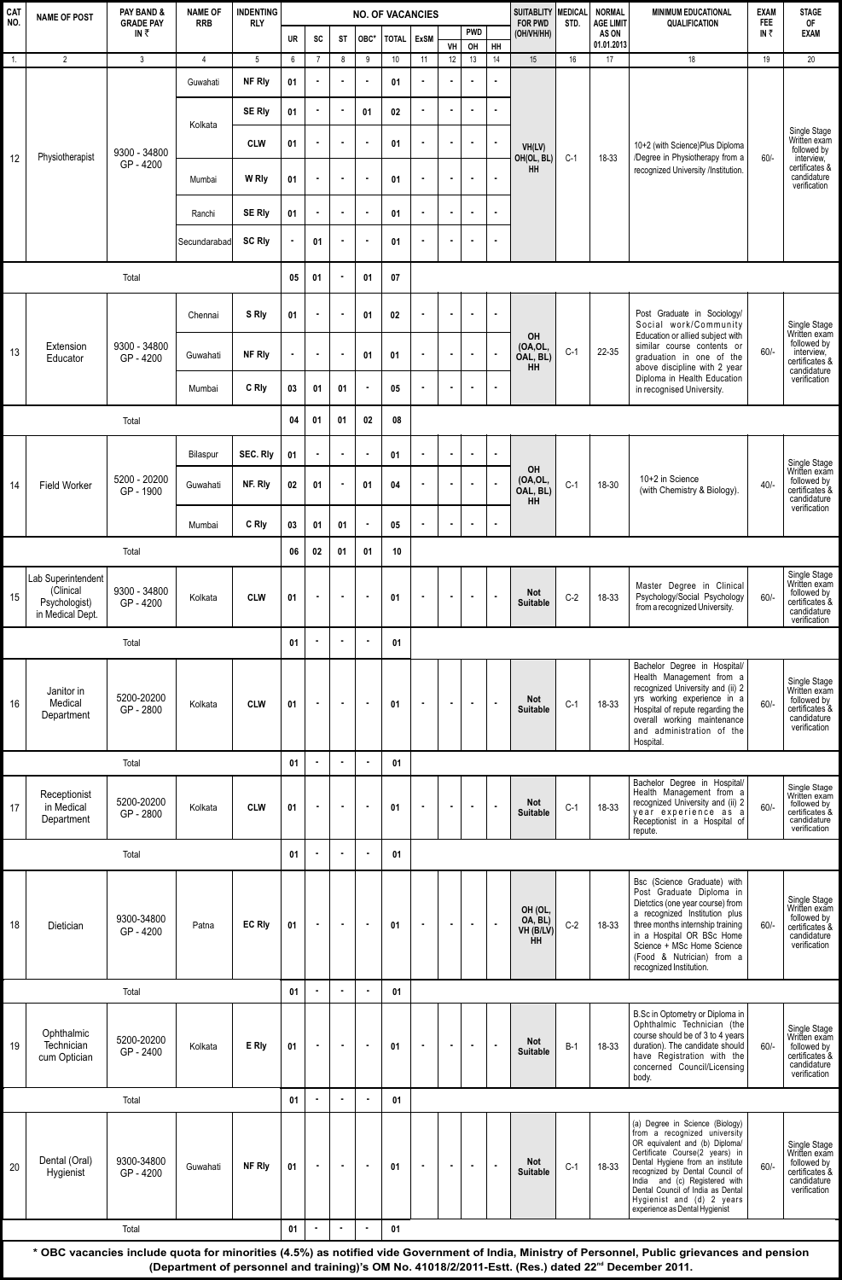| <b>CAT</b><br>NO. | <b>NAME OF POST</b>                                                  | PAY BAND &<br><b>GRADE PAY</b> | <b>NAME OF</b><br><b>RRB</b> | <b>INDENTING</b><br><b>RLY</b> | <b>NO. OF VACANCIES</b> |                |                |                  |                  |                |                |                  |                | <b>SUITABLITY</b><br><b>FOR PWD</b>          | MEDICAL<br>STD. | <b>NORMAL</b><br><b>AGE LIMIT</b> | <b>MINIMUM EDUCATIONAL</b><br><b>QUALIFICATION</b>                                                                                                                                                                                                                                                                                              | <b>EXAM</b><br><b>FEE</b> | <b>STAGE</b><br><b>OF</b>                                                                                  |
|-------------------|----------------------------------------------------------------------|--------------------------------|------------------------------|--------------------------------|-------------------------|----------------|----------------|------------------|------------------|----------------|----------------|------------------|----------------|----------------------------------------------|-----------------|-----------------------------------|-------------------------------------------------------------------------------------------------------------------------------------------------------------------------------------------------------------------------------------------------------------------------------------------------------------------------------------------------|---------------------------|------------------------------------------------------------------------------------------------------------|
|                   |                                                                      | IN₹                            |                              |                                | <b>UR</b>               | SC             | ST             | OBC <sup>*</sup> | <b>TOTAL</b>     | <b>ExSM</b>    | VH             | <b>PWD</b><br>OH | HH             | (OH/VH/HH)                                   |                 | AS ON<br>01.01.2013               |                                                                                                                                                                                                                                                                                                                                                 | IN₹                       | <b>EXAM</b>                                                                                                |
| 1.                | $\overline{2}$                                                       | $\mathbf{3}$                   | $\overline{4}$               | 5                              | 6                       | $\overline{7}$ | 8              | 9                | 10               | 11             | 12             | 13               | 14             | 15                                           | 16              | 17                                | 18                                                                                                                                                                                                                                                                                                                                              | 19                        | 20                                                                                                         |
|                   |                                                                      |                                | Guwahati                     | NF Rly                         | 01                      |                | $\blacksquare$ | $\blacksquare$   | 01               | $\blacksquare$ | $\blacksquare$ |                  | $\blacksquare$ |                                              |                 |                                   |                                                                                                                                                                                                                                                                                                                                                 |                           |                                                                                                            |
|                   |                                                                      |                                | Kolkata                      | <b>SE Rly</b>                  | 01                      | $\blacksquare$ | $\bullet$      | 01               | $02\phantom{.0}$ | $\blacksquare$ | ä,             |                  |                |                                              |                 |                                   |                                                                                                                                                                                                                                                                                                                                                 |                           | Single Stage<br>Written exam<br>followed by<br>interview,<br>certificates &<br>candidature<br>verification |
|                   |                                                                      |                                |                              | <b>CLW</b>                     | 01                      |                | $\blacksquare$ | $\bullet$        | 01               | $\blacksquare$ | $\blacksquare$ | $\blacksquare$   | $\bullet$      | VH(LV)                                       |                 |                                   | 10+2 (with Science)Plus Diploma                                                                                                                                                                                                                                                                                                                 |                           |                                                                                                            |
| 12                | Physiotherapist                                                      | 9300 - 34800<br>GP-4200        | Mumbai                       | W Rly                          | 01                      | $\blacksquare$ | $\blacksquare$ | $\bullet$        | 01               | $\bullet$      |                |                  | $\blacksquare$ | OH(OL, BL)<br><b>HH</b>                      | $C-1$           | 18-33                             | /Degree in Physiotherapy from a<br>recognized University /Institution.                                                                                                                                                                                                                                                                          | $60/-$                    |                                                                                                            |
|                   |                                                                      |                                | Ranchi                       | SE Rly                         | 01                      |                | $\blacksquare$ | $\blacksquare$   | 01               | $\blacksquare$ | $\blacksquare$ |                  | $\bullet$      |                                              |                 |                                   |                                                                                                                                                                                                                                                                                                                                                 |                           |                                                                                                            |
|                   |                                                                      |                                | Secundarabad                 | <b>SC Rly</b>                  |                         | 01             | $\blacksquare$ | $\blacksquare$   | 01               | $\blacksquare$ | $\blacksquare$ |                  | $\blacksquare$ |                                              |                 |                                   |                                                                                                                                                                                                                                                                                                                                                 |                           |                                                                                                            |
|                   |                                                                      | Total                          |                              |                                | 05                      | 01             | $\blacksquare$ | 01               | 07               |                |                |                  |                |                                              |                 |                                   |                                                                                                                                                                                                                                                                                                                                                 |                           |                                                                                                            |
|                   |                                                                      |                                | Chennai                      | S Rly                          | 01                      |                | $\blacksquare$ | 01               | 02               | $\blacksquare$ | $\blacksquare$ | $\blacksquare$   | $\blacksquare$ | OH                                           |                 |                                   | Post Graduate in Sociology/<br>Social work/Community<br>Education or allied subject with<br>similar course contents or<br>graduation in one of the<br>above discipline with 2 year                                                                                                                                                              |                           | Single Stage<br>Written exam                                                                               |
| 13                | Extension<br>Educator                                                | 9300 - 34800<br>GP-4200        | Guwahati                     | NF Rly                         | $\blacksquare$          |                | ×              | 01               | 01               | $\blacksquare$ |                |                  |                | (OA, OL,<br>OAL, BL)<br>HH                   | $C-1$           | 22-35                             |                                                                                                                                                                                                                                                                                                                                                 | $60/-$                    | followed by<br>interview,<br>certificates &<br>candidature                                                 |
|                   |                                                                      |                                | Mumbai                       | C Rly                          | 03                      | 01             | 01             | $\blacksquare$   | 05               | $\blacksquare$ | $\blacksquare$ | $\blacksquare$   | $\blacksquare$ |                                              |                 |                                   | Diploma in Health Education<br>in recognised University.                                                                                                                                                                                                                                                                                        |                           | verification                                                                                               |
|                   |                                                                      | Total                          |                              |                                | 04                      | 01             | 01             | 02               | 08               |                |                |                  |                |                                              |                 |                                   |                                                                                                                                                                                                                                                                                                                                                 |                           |                                                                                                            |
|                   |                                                                      |                                | Bilaspur                     | SEC. Rly                       | 01                      |                | $\bullet$      | ×                | 01               |                |                |                  |                |                                              |                 |                                   |                                                                                                                                                                                                                                                                                                                                                 |                           |                                                                                                            |
| 14                | <b>Field Worker</b>                                                  | 5200 - 20200<br>GP-1900        | Guwahati                     | NF. Rly                        | 02                      | 01             | $\blacksquare$ | 01               | 04               | $\blacksquare$ | $\blacksquare$ |                  |                | OH<br>(OA,OL,<br>OAL, BL)<br>HH              | $C-1$           | 18-30                             | 10+2 in Science<br>(with Chemistry & Biology).                                                                                                                                                                                                                                                                                                  | $40/-$                    | Single Stage<br>Written exam<br>followed by<br>certificates <sup>8</sup><br>candidature                    |
|                   |                                                                      |                                | Mumbai                       | C Rly                          | 03                      | 01             | 01             | $\bullet$        | 05               | $\blacksquare$ |                |                  |                |                                              |                 |                                   |                                                                                                                                                                                                                                                                                                                                                 |                           | verification                                                                                               |
|                   |                                                                      |                                | 06                           | 02                             | 01                      | 01             | 10             |                  |                  |                |                |                  |                |                                              |                 |                                   |                                                                                                                                                                                                                                                                                                                                                 |                           |                                                                                                            |
| 15                | Lab Superintendent<br>(Clinical<br>Psychologist)<br>in Medical Dept. | 9300 - 34800<br>GP-4200        | Kolkata                      | <b>CLW</b>                     | 01                      |                | $\blacksquare$ | $\bullet$        | 01               | $\blacksquare$ | $\blacksquare$ |                  |                | <b>Not</b><br><b>Suitable</b>                | $C-2$           | 18-33                             | Master Degree in Clinical<br>Psychology/Social Psychology<br>from a recognized University.                                                                                                                                                                                                                                                      | $60/-$                    | Single Stage<br>Written exam<br>followed by<br>certificates &<br>candidature<br>verification               |
|                   |                                                                      |                                | 01                           |                                | $\bullet$               | $\blacksquare$ | 01             |                  |                  |                |                |                  |                |                                              |                 |                                   |                                                                                                                                                                                                                                                                                                                                                 |                           |                                                                                                            |
| 16                | Janitor in<br>Medical<br>Department                                  | 5200-20200<br>GP-2800          | Kolkata                      | <b>CLW</b>                     | 01                      |                | $\blacksquare$ | $\blacksquare$   | 01               | $\blacksquare$ | $\blacksquare$ |                  | $\blacksquare$ | Not<br><b>Suitable</b>                       | $C-1$           | 18-33                             | Bachelor Degree in Hospital/<br>Health Management from a<br>recognized University and (ii) 2<br>yrs working experience in a<br>Hospital of repute regarding the<br>overall working maintenance<br>and administration of the<br>Hospital.                                                                                                        | $60/-$                    | Single Stage<br>Written exam<br>followed by<br>certificates &<br>candidature<br>verification               |
|                   |                                                                      | Total                          |                              |                                | 01                      |                | $\bullet$      | ř.               | 01               |                |                |                  |                |                                              |                 |                                   |                                                                                                                                                                                                                                                                                                                                                 |                           |                                                                                                            |
| 17                | Receptionist<br>in Medical<br>Department                             | 5200-20200<br>GP-2800          | Kolkata                      | <b>CLW</b>                     | 01                      | ×              | $\blacksquare$ | $\blacksquare$   | 01               | $\blacksquare$ | $\blacksquare$ | $\blacksquare$   | $\blacksquare$ | <b>Not</b><br><b>Suitable</b>                | $C-1$           | 18-33                             | Bachelor Degree in Hospital/<br>Health Management from a<br>recognized University and (ii) 2<br>year experience as a<br>Receptionist in a Hospital of<br>repute.                                                                                                                                                                                | $60/-$                    | Single Stage<br>Written exam<br>followed by<br>certificates &<br>candidature<br>verification               |
|                   |                                                                      | Total                          |                              |                                | 01                      |                | $\bullet$      |                  | 01               |                |                |                  |                |                                              |                 |                                   |                                                                                                                                                                                                                                                                                                                                                 |                           |                                                                                                            |
| 18                | Dietician                                                            | 9300-34800<br>GP-4200          | Patna                        | <b>EC RIv</b>                  | 01                      |                | $\blacksquare$ | $\blacksquare$   | 01               | $\blacksquare$ | $\blacksquare$ |                  |                | OH (OL,<br>OA, BL)<br>VH (B/LV)<br><b>HH</b> | $C-2$           | 18-33                             | Bsc (Science Graduate) with<br>Post Graduate Diploma in<br>Dietctics (one year course) from<br>a recognized Institution plus<br>three months internship training<br>in a Hospital OR BSc Home<br>Science + MSc Home Science<br>(Food & Nutrician) from a<br>recognized Institution.                                                             | $60/-$                    | Single Stage<br>Written exam<br>followed by<br>certificates <sup>8</sup><br>candidature<br>verification    |
|                   |                                                                      | Total                          |                              |                                | 01                      | $\blacksquare$ | $\blacksquare$ | $\blacksquare$   | 01               |                |                |                  |                |                                              |                 |                                   |                                                                                                                                                                                                                                                                                                                                                 |                           |                                                                                                            |
| 19                | Ophthalmic<br>Technician<br>cum Optician                             | 5200-20200<br>GP-2400          | Kolkata                      | E RI <sub>V</sub>              | 01                      |                | $\blacksquare$ | $\blacksquare$   | 01               | $\blacksquare$ | $\blacksquare$ | $\blacksquare$   |                | Not<br><b>Suitable</b>                       | $B-1$           | 18-33                             | B.Sc in Optometry or Diploma in<br>Ophthalmic Technician (the<br>course should be of 3 to 4 years<br>duration). The candidate should<br>have Registration with the<br>concerned Council/Licensing<br>body.                                                                                                                                      | $60/-$                    | Single Stage<br>Written exam<br>followed by<br>certificates &<br>candidature<br>verification               |
|                   |                                                                      |                                | 01                           | $\sim$                         | $\bullet$               | $\bullet$      | 01             |                  |                  |                |                |                  |                |                                              |                 |                                   |                                                                                                                                                                                                                                                                                                                                                 |                           |                                                                                                            |
| 20                | Dental (Oral)<br>Hygienist                                           | 9300-34800<br>GP-4200          | Guwahati                     | NF Rly                         | 01                      |                | $\blacksquare$ | $\sim$           | 01               | $\blacksquare$ | $\blacksquare$ |                  | $\overline{a}$ | Not<br><b>Suitable</b>                       | $C-1$           | 18-33                             | (a) Degree in Science (Biology)<br>from a recognized university<br>OR equivalent and (b) Diploma/<br>Certificate Course(2 years) in<br>Dental Hygiene from an institute<br>recognized by Dental Council of<br>India and (c) Registered with<br>Dental Council of India as Dental<br>Hygienist and (d) 2 years<br>experience as Dental Hygienist | $60/-$                    | Single Stage<br>Written exam<br>followed by<br>certificates &<br>candidature<br>verification               |
| Total             |                                                                      |                                |                              |                                |                         |                |                | $\blacksquare$   | 01               |                |                |                  |                |                                              |                 |                                   |                                                                                                                                                                                                                                                                                                                                                 |                           |                                                                                                            |

**\* OBC vacancies include quota for minorities (4.5%) as notified vide Government of India, Ministry of Personnel, Public grievances and pension**  (Department of personnel and training)'s OM No. 41018/2/2011-Estt. (Res.) dated 22<sup>nd</sup> December 2011.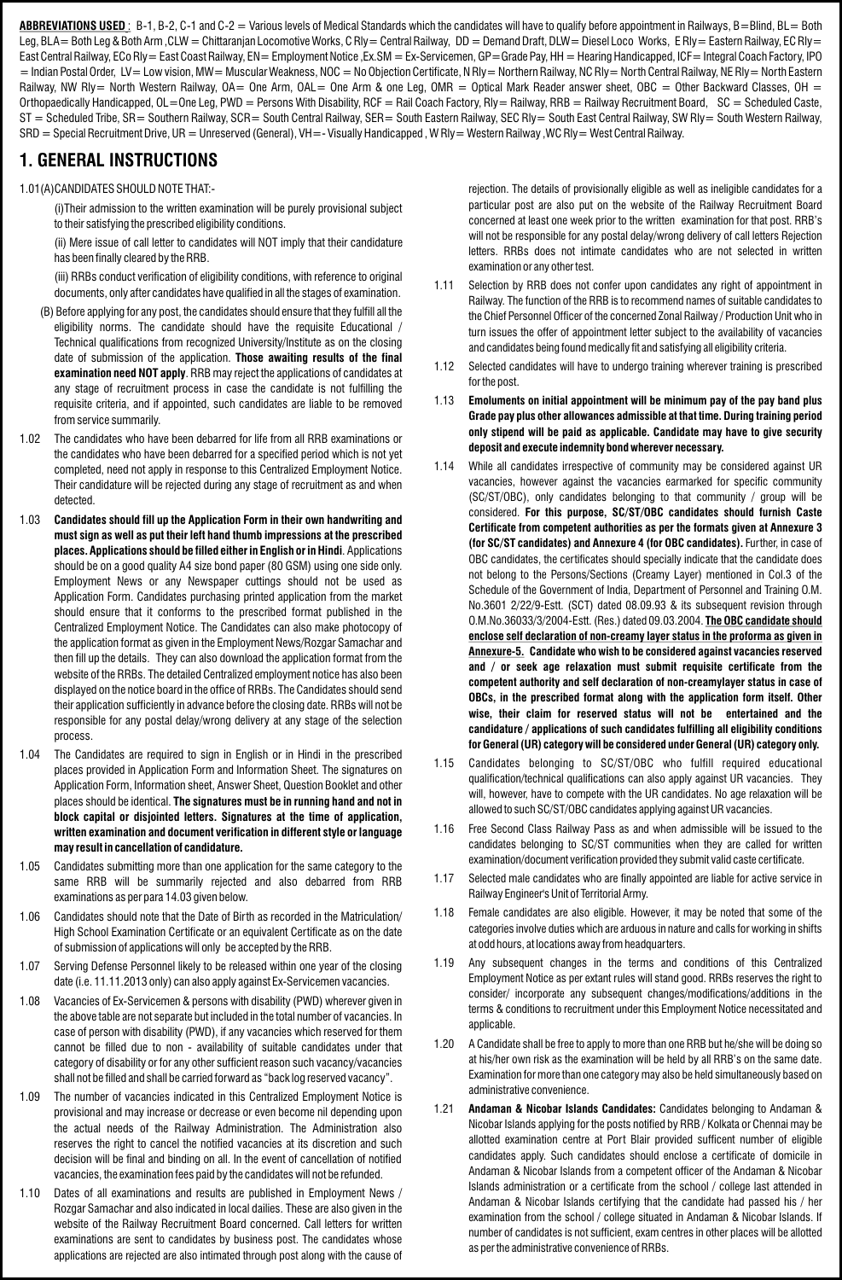ABBREVIATIONS USED: B-1, B-2, C-1 and C-2 = Various levels of Medical Standards which the candidates will have to qualify before appointment in Railways, B=Blind, BL= Both Leg, BLA= Both Leg & Both Arm ,CLW = Chittaranjan Locomotive Works, C Rly = Central Railway, DD = Demand Draft, DLW = Diesel Loco Works, E Rly = Eastern Railway, EC Rly = East Central Railway, ECo Rly= East Coast Railway, EN= Employment Notice ,Ex.SM = Ex-Servicemen, GP=Grade Pay, HH = Hearing Handicapped, ICF= Integral Coach Factory, IPO = Indian Postal Order, LV = Low vision, MW = Muscular Weakness, NOC = No Objection Certificate, N Rly = Northern Railway, NC Rly = North Central Railway, NE Rly = North Eastern Railway, NW Rly= North Western Railway, OA= One Arm, OAL= One Arm & one Leg, OMR = Optical Mark Reader answer sheet, OBC = Other Backward Classes, OH = Orthopaedically Handicapped, OL=One Leg, PWD = Persons With Disability, RCF = Rail Coach Factory, RIy = Railway, RRB = Railway Recruitment Board, SC = Scheduled Caste, ST = Scheduled Tribe, SR= Southern Railway, SCR= South Central Railway, SER= South Eastern Railway, SEC Rly= South East Central Railway, SW Rly= South Western Railway, SRD = Special Recruitment Drive, UR = Unreserved (General), VH=- Visually Handicapped, W Rly = Western Railway, WC Rly = West Central Railway.

#### **1. GENERAL INSTRUCTIONS**

1.01(A)CANDIDATES SHOULD NOTE THAT:-

(i)Their admission to the written examination will be purely provisional subject to their satisfying the prescribed eligibility conditions.

(ii) Mere issue of call letter to candidates will NOT imply that their candidature has been finally cleared by the RRB.

(iii) RRBs conduct verification of eligibility conditions, with reference to original documents, only after candidates have qualified in all the stages of examination.

- (B) Before applying for any post, the candidates should ensure that they fulfill all the eligibility norms. The candidate should have the requisite Educational / Technical qualifications from recognized University/Institute as on the closing date of submission of the application. **Those awaiting results of the final examination need NOT apply**. RRB may reject the applications of candidates at any stage of recruitment process in case the candidate is not fulfilling the requisite criteria, and if appointed, such candidates are liable to be removed from service summarily.
- 1.02 The candidates who have been debarred for life from all RRB examinations or the candidates who have been debarred for a specified period which is not yet completed, need not apply in response to this Centralized Employment Notice. Their candidature will be rejected during any stage of recruitment as and when detected.
- 1.03 **Candidates should fill up the Application Form in their own handwriting and must sign as well as put their left hand thumb impressions at the prescribed places. Applications should be filled either in English or in Hindi**. Applications should be on a good quality A4 size bond paper (80 GSM) using one side only. Employment News or any Newspaper cuttings should not be used as Application Form. Candidates purchasing printed application from the market should ensure that it conforms to the prescribed format published in the Centralized Employment Notice. The Candidates can also make photocopy of the application format as given in the Employment News/Rozgar Samachar and then fill up the details. They can also download the application format from the website of the RRBs. The detailed Centralized employment notice has also been displayed on the notice board in the office of RRBs. The Candidates should send their application sufficiently in advance before the closing date. RRBs will not be responsible for any postal delay/wrong delivery at any stage of the selection process.
- 1.04 The Candidates are required to sign in English or in Hindi in the prescribed places provided in Application Form and Information Sheet. The signatures on Application Form, Information sheet, Answer Sheet, Question Booklet and other places should be identical. **The signatures must be in running hand and not in block capital or disjointed letters. Signatures at the time of application, written examination and document verification in different style or language may result in cancellation of candidature.**
- 1.05 Candidates submitting more than one application for the same category to the same RRB will be summarily rejected and also debarred from RRB examinations as per para 14.03 given below.
- 1.06 Candidates should note that the Date of Birth as recorded in the Matriculation/ High School Examination Certificate or an equivalent Certificate as on the date of submission of applications will only be accepted by the RRB.
- 1.07 Serving Defense Personnel likely to be released within one year of the closing date (i.e. 11.11.2013 only) can also apply against Ex-Servicemen vacancies.
- 1.08 Vacancies of Ex-Servicemen & persons with disability (PWD) wherever given in the above table are not separate but included in the total number of vacancies. In case of person with disability (PWD), if any vacancies which reserved for them cannot be filled due to non - availability of suitable candidates under that category of disability or for any other sufficient reason such vacancy/vacancies shall not be filled and shall be carried forward as "back log reserved vacancy".
- 1.09 The number of vacancies indicated in this Centralized Employment Notice is provisional and may increase or decrease or even become nil depending upon the actual needs of the Railway Administration. The Administration also reserves the right to cancel the notified vacancies at its discretion and such decision will be final and binding on all. In the event of cancellation of notified vacancies, the examination fees paid by the candidates will not be refunded.
- 1.10 Dates of all examinations and results are published in Employment News / Rozgar Samachar and also indicated in local dailies. These are also given in the website of the Railway Recruitment Board concerned. Call letters for written examinations are sent to candidates by business post. The candidates whose applications are rejected are also intimated through post along with the cause of

rejection. The details of provisionally eligible as well as ineligible candidates for a particular post are also put on the website of the Railway Recruitment Board concerned at least one week prior to the written examination for that post. RRB's will not be responsible for any postal delay/wrong delivery of call letters Rejection letters. RRBs does not intimate candidates who are not selected in written examination or any other test.

- 1.11 Selection by RRB does not confer upon candidates any right of appointment in Railway. The function of the RRB is to recommend names of suitable candidates to the Chief Personnel Officer of the concerned Zonal Railway / Production Unit who in turn issues the offer of appointment letter subject to the availability of vacancies and candidates being found medically fit and satisfying all eligibility criteria.
- 1.12 Selected candidates will have to undergo training wherever training is prescribed for the post.
- 1.13 **Emoluments on initial appointment will be minimum pay of the pay band plus Grade pay plus other allowances admissible at that time. During training period only stipend will be paid as applicable. Candidate may have to give security deposit and execute indemnity bond wherever necessary.**
- 1.14 While all candidates irrespective of community may be considered against UR vacancies, however against the vacancies earmarked for specific community (SC/ST/OBC), only candidates belonging to that community / group will be considered. **For this purpose, SC/ST/OBC candidates should furnish Caste Certificate from competent authorities as per the formats given at Annexure 3 (for SC/ST candidates) and Annexure 4 (for OBC candidates).** Further, in case of OBC candidates, the certificates should specially indicate that the candidate does not belong to the Persons/Sections (Creamy Layer) mentioned in Col.3 of the Schedule of the Government of India, Department of Personnel and Training O.M. No.3601 2/22/9-Estt. (SCT) dated 08.09.93 & its subsequent revision through O.M.No.36033/3/2004-Estt. (Res.) dated 09.03.2004. **The OBC candidate should enclose self declaration of non-creamy layer status in the proforma as given in Annexure-5. Candidate who wish to be considered against vacancies reserved and / or seek age relaxation must submit requisite certificate from the competent authority and self declaration of non-creamylayer status in case of OBCs, in the prescribed format along with the application form itself. Other wise, their claim for reserved status will not be entertained and the candidature / applications of such candidates fulfilling all eligibility conditions for General (UR) category will be considered under General (UR) category only.**
- 1.15 Candidates belonging to SC/ST/OBC who fulfill required educational qualification/technical qualifications can also apply against UR vacancies. They will, however, have to compete with the UR candidates. No age relaxation will be allowed to such SC/ST/OBC candidates applying against UR vacancies.
- 1.16 Free Second Class Railway Pass as and when admissible will be issued to the candidates belonging to SC/ST communities when they are called for written examination/document verification provided they submit valid caste certificate.
- 1.17 Selected male candidates who are finally appointed are liable for active service in Railway Engineer's Unit of Territorial Army.
- 1.18 Female candidates are also eligible. However, it may be noted that some of the categories involve duties which are arduous in nature and calls for working in shifts at odd hours, at locations away from headquarters.
- 1.19 Any subsequent changes in the terms and conditions of this Centralized Employment Notice as per extant rules will stand good. RRBs reserves the right to consider/ incorporate any subsequent changes/modifications/additions in the terms & conditions to recruitment under this Employment Notice necessitated and applicable.
- 1.20 A Candidate shall be free to apply to more than one RRB but he/she will be doing so at his/her own risk as the examination will be held by all RRB's on the same date. Examination for more than one category may also be held simultaneously based on administrative convenience.
- 1.21 **Andaman & Nicobar Islands Candidates:** Candidates belonging to Andaman & Nicobar Islands applying for the posts notified by RRB / Kolkata or Chennai may be allotted examination centre at Port Blair provided sufficent number of eligible candidates apply. Such candidates should enclose a certificate of domicile in Andaman & Nicobar Islands from a competent officer of the Andaman & Nicobar Islands administration or a certificate from the school / college last attended in Andaman & Nicobar Islands certifying that the candidate had passed his / her examination from the school / college situated in Andaman & Nicobar Islands. If number of candidates is not sufficient, exam centres in other places will be allotted as per the administrative convenience of RRBs.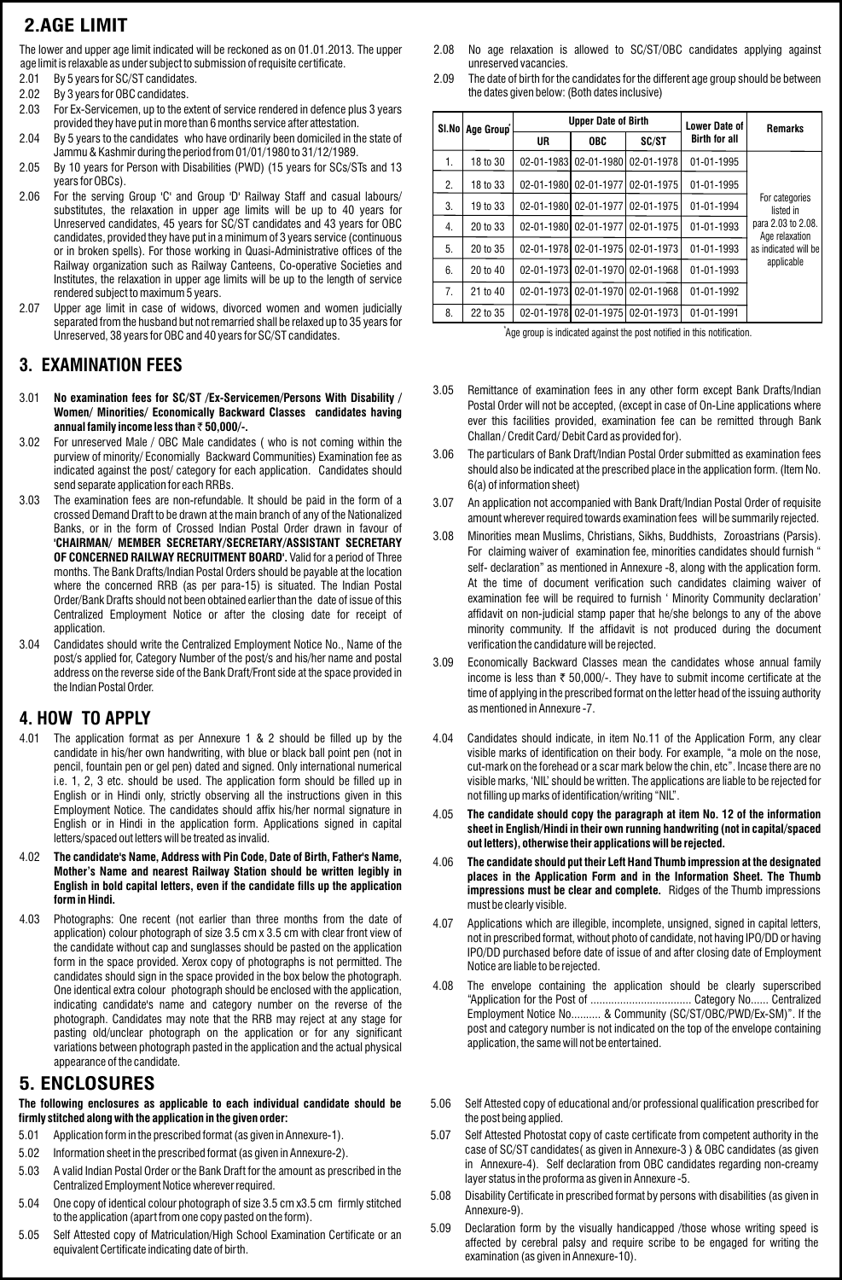# **2.AGE LIMIT**

The lower and upper age limit indicated will be reckoned as on 01.01.2013. The upper age limit is relaxable as under subject to submission of requisite certificate.

- 2.01 By 5 years for SC/ST candidates.
- 2.02 By 3 years for OBC candidates.
- 2.03 For Ex-Servicemen, up to the extent of service rendered in defence plus 3 years provided they have put in more than 6 months service after attestation.
- 2.04 By 5 years to the candidates who have ordinarily been domiciled in the state of Jammu & Kashmir during the period from 01/01/1980 to 31/12/1989.
- 2.05 By 10 years for Person with Disabilities (PWD) (15 years for SCs/STs and 13 years for OBCs).
- 2.06 For the serving Group 'C' and Group 'D' Railway Staff and casual labours/ substitutes, the relaxation in upper age limits will be up to 40 years for Unreserved candidates, 45 years for SC/ST candidates and 43 years for OBC candidates, provided they have put in a minimum of 3 years service (continuous or in broken spells). For those working in Quasi-Administrative offices of the Railway organization such as Railway Canteens, Co-operative Societies and Institutes, the relaxation in upper age limits will be up to the length of service rendered subject to maximum 5 years.
- 2.07 Upper age limit in case of widows, divorced women and women judicially separated from the husband but not remarried shall be relaxed up to 35 years for Unreserved, 38 years for OBC and 40 years for SC/ST candidates.

#### **3. EXAMINATION FEES**

- 3.01 No examination fees for SC/ST / Ex-Servicemen/ Persons With Disability / **Women/ Minorities/ Economically Backward Classes candidates having annual family income less than** ` **50,000/-.**
- 3.02 For unreserved Male / OBC Male candidates ( who is not coming within the purview of minority/ Economially Backward Communities) Examination fee as indicated against the post/ category for each application. Candidates should send separate application for each RRBs.
- 3.03 The examination fees are non-refundable. It should be paid in the form of a crossed Demand Draft to be drawn at the main branch of any of the Nationalized Banks, or in the form of Crossed Indian Postal Order drawn in favour of **'CHAIRMAN/ MEMBER SECRETARY/SECRETARY/ASSISTANT SECRETARY OF CONCERNED RAILWAY RECRUITMENT BOARD'.** Valid for a period of Three months. The Bank Drafts/Indian Postal Orders should be payable at the location where the concerned RRB (as per para-15) is situated. The Indian Postal Order/Bank Drafts should not been obtained earlier than the date of issue of this Centralized Employment Notice or after the closing date for receipt of application.
- 3.04 Candidates should write the Centralized Employment Notice No., Name of the post/s applied for, Category Number of the post/s and his/her name and postal address on the reverse side of the Bank Draft/Front side at the space provided in the Indian Postal Order.

# as mentioned in Annexure -7. **4. HOW TO APPLY**

- 4.01 The application format as per Annexure 1 & 2 should be filled up by the candidate in his/her own handwriting, with blue or black ball point pen (not in pencil, fountain pen or gel pen) dated and signed. Only international numerical i.e. 1, 2, 3 etc. should be used. The application form should be filled up in English or in Hindi only, strictly observing all the instructions given in this Employment Notice. The candidates should affix his/her normal signature in English or in Hindi in the application form. Applications signed in capital letters/spaced out letters will be treated as invalid.
- 4.02 **The candidate's Name, Address with Pin Code, Date of Birth, Father's Name, Mother's Name and nearest Railway Station should be written legibly in English in bold capital letters, even if the candidate fills up the application form in Hindi.**
- 4.03 Photographs: One recent (not earlier than three months from the date of application) colour photograph of size 3.5 cm x 3.5 cm with clear front view of the candidate without cap and sunglasses should be pasted on the application form in the space provided. Xerox copy of photographs is not permitted. The candidates should sign in the space provided in the box below the photograph. One identical extra colour photograph should be enclosed with the application, indicating candidate's name and category number on the reverse of the photograph. Candidates may note that the RRB may reject at any stage for pasting old/unclear photograph on the application or for any significant variations between photograph pasted in the application and the actual physical appearance of the candidate.

#### **5. ENCLOSURES**

**The following enclosures as applicable to each individual candidate should be firmly stitched along with the application in the given order:**

- 5.01 Application form in the prescribed format (as given in Annexure-1).
- 5.02 Information sheet in the prescribed format (as given in Annexure-2).
- 5.03 A valid Indian Postal Order or the Bank Draft for the amount as prescribed in the Centralized Employment Notice wherever required.
- 5.04 One copy of identical colour photograph of size 3.5 cm x3.5 cm firmly stitched to the application (apart from one copy pasted on the form).
- 5.05 Self Attested copy of Matriculation/High School Examination Certificate or an equivalent Certificate indicating date of birth.
- 2.08 No age relaxation is allowed to SC/ST/OBC candidates applying against unreserved vacancies.
- 2.09 The date of birth for the candidates for the different age group should be between the dates given below: (Both dates inclusive)

| SI.No | Age Group <sup>*</sup> |    | <b>Upper Date of Birth</b> |            | <b>Lower Date of</b> | <b>Remarks</b>                                                      |  |  |
|-------|------------------------|----|----------------------------|------------|----------------------|---------------------------------------------------------------------|--|--|
|       |                        | UR | <b>OBC</b>                 | SC/ST      | <b>Birth for all</b> |                                                                     |  |  |
| 1.    | 18 to 30               |    | 02-01-1983 02-01-1980      | 02-01-1978 | 01-01-1995           |                                                                     |  |  |
| 2.    | 18 to 33               |    | 02-01-1980 02-01-1977      | 02-01-1975 | 01-01-1995           |                                                                     |  |  |
| 3.    | 19 to 33               |    | 02-01-1980 02-01-1977      | 02-01-1975 | 01-01-1994           | For categories<br>listed in<br>para 2.03 to 2.08.<br>Age relaxation |  |  |
| 4.    | 20 to 33               |    | 02-01-1980 02-01-1977      | 02-01-1975 | 01-01-1993           |                                                                     |  |  |
| 5.    | 20 to 35               |    | 02-01-1978 02-01-1975      | 02-01-1973 | 01-01-1993           | as indicated will be                                                |  |  |
| 6.    | 20 to 40               |    | 02-01-1973 02-01-1970      | 02-01-1968 | 01-01-1993           | applicable                                                          |  |  |
| 7.    | 21 to 40               |    | 02-01-1973 02-01-1970      | 02-01-1968 | 01-01-1992           |                                                                     |  |  |
| 8.    | 22 to 35               |    | 02-01-1978 02-01-1975      | 02-01-1973 | 01-01-1991           |                                                                     |  |  |

Age group is indicated against the post notified in this notification. \*

- **Persons With Disability** 3.05 Remittance of examination fees in any other form except Bank Drafts/Indian Postal Order will not be accepted, (except in case of On-Line applications where ever this facilities provided, examination fee can be remitted through Bank Challan / Credit Card/ Debit Card as provided for).
- 3.06 The particulars of Bank Draft/Indian Postal Order submitted as examination fees should also be indicated at the prescribed place in the application form. (Item No. 6(a) of information sheet)
- 3.07 An application not accompanied with Bank Draft/Indian Postal Order of requisite amount wherever required towards examination fees will be summarily rejected.
- 3.08 Minorities mean Muslims, Christians, Sikhs, Buddhists, Zoroastrians (Parsis). For claiming waiver of examination fee, minorities candidates should furnish " self- declaration" as mentioned in Annexure -8, along with the application form. At the time of document verification such candidates claiming waiver of examination fee will be required to furnish ' Minority Community declaration' affidavit on non-judicial stamp paper that he/she belongs to any of the above minority community. If the affidavit is not produced during the document verification the candidature will be rejected.
- 3.09 Economically Backward Classes mean the candidates whose annual family income is less than  $\bar{\tau}$  50,000/-. They have to submit income certificate at the time of applying in the prescribed format on the letter head of the issuing authority
- 4.04 Candidates should indicate, in item No.11 of the Application Form, any clear visible marks of identification on their body. For example, "a mole on the nose, cut-mark on the forehead or a scar mark below the chin, etc". Incase there are no visible marks, 'NIL' should be written. The applications are liable to be rejected for not filling up marks of identification/writing "NIL".
- 4.05 **The candidate should copy the paragraph at item No. 12 of the information sheet in English/Hindi in their own running handwriting (not in capital/spaced out letters), otherwise their applications will be rejected.**
- 4.06 **The candidate should put their Left Hand Thumb impression at the designated places in the Application Form and in the Information Sheet. The Thumb impressions must be clear and complete.** Ridges of the Thumb impressions must be clearly visible.
- 4.07 Applications which are illegible, incomplete, unsigned, signed in capital letters, not in prescribed format, without photo of candidate, not having IPO/DD or having IPO/DD purchased before date of issue of and after closing date of Employment Notice are liable to be rejected.
- 4.08 The envelope containing the application should be clearly superscribed "Application for the Post of .................................. Category No...... Centralized Employment Notice No.......... & Community (SC/ST/OBC/PWD/Ex-SM)". If the post and category number is not indicated on the top of the envelope containing application, the same will not be entertained.
- 5.06 Self Attested copy of educational and/or professional qualification prescribed for the post being applied.
- 5.07 Self Attested Photostat copy of caste certificate from competent authority in the case of SC/ST candidates( as given in Annexure-3 ) & OBC candidates (as given in Annexure-4). Self declaration from OBC candidates regarding non-creamy layer status in the proforma as given in Annexure -5.
- 5.08 Disability Certificate in prescribed format by persons with disabilities (as given in Annexure-9).
- 5.09 Declaration form by the visually handicapped /those whose writing speed is affected by cerebral palsy and require scribe to be engaged for writing the examination (as given in Annexure-10).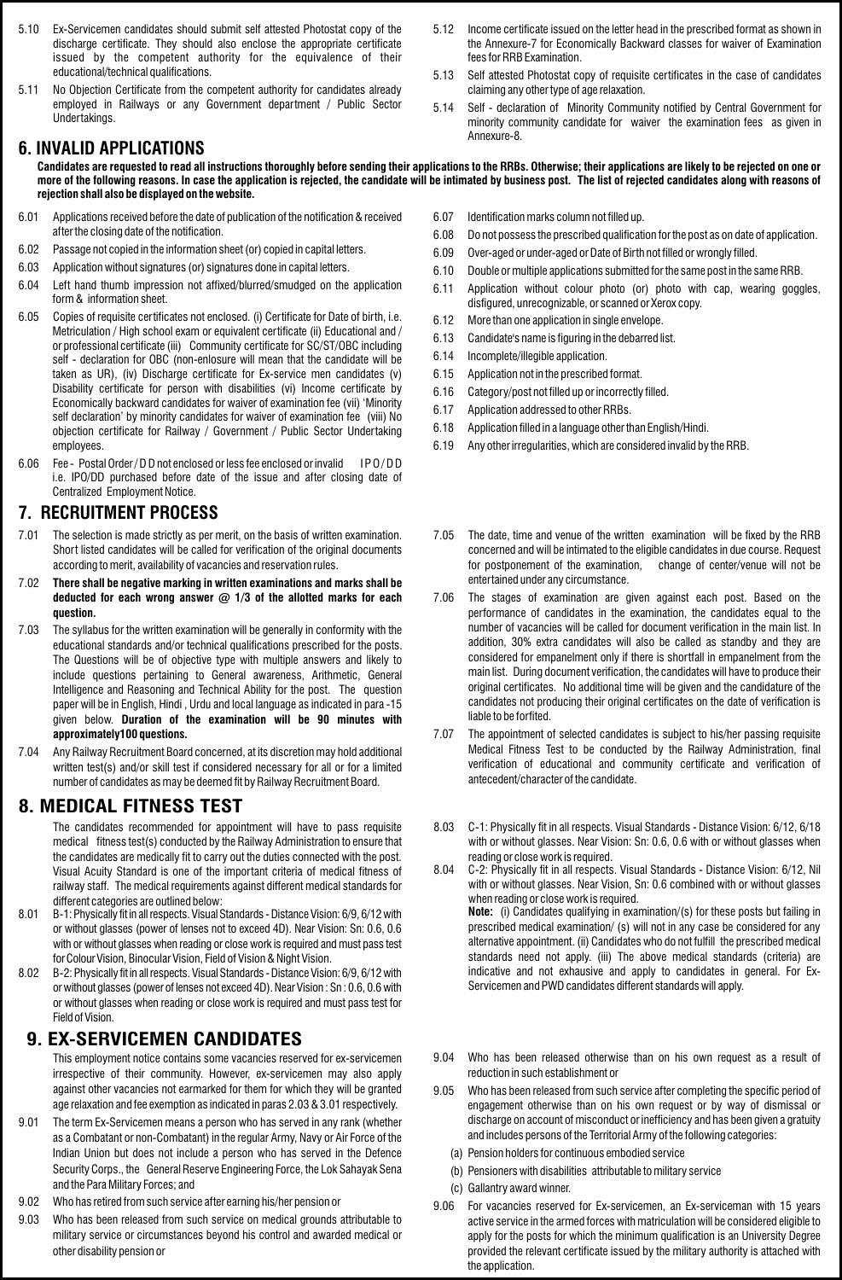- 5.10 Ex-Servicemen candidates should submit self attested Photostat copy of the discharge certificate. They should also enclose the appropriate certificate issued by the competent authority for the equivalence of their educational/technical qualifications.
- 5.11 No Objection Certificate from the competent authority for candidates already employed in Railways or any Government department / Public Sector Undertakings.

#### **6. INVALID APPLICATIONS**

**Candidates are requested to read all instructions thoroughly before sending their applications to the RRBs. Otherwise; their applications are likely to be rejected on one or more of the following reasons. In case the application is rejected, the candidate will be intimated by business post. The list of rejected candidates along with reasons of rejection shall also be displayed on the website.** 

- 6.01 Applications received before the date of publication of the notification & received after the closing date of the notification.
- 6.02 Passage not copied in the information sheet (or) copied in capital letters.
- 6.03 Application without signatures (or) signatures done in capital letters.
- 6.04 Left hand thumb impression not affixed/blurred/smudged on the application form & information sheet.
- 6.05 Copies of requisite certificates not enclosed. (i) Certificate for Date of birth, i.e. Metriculation / High school exam or equivalent certificate (ii) Educational and / or professional certificate (iii) Community certificate for SC/ST/OBC including self - declaration for OBC (non-enlosure will mean that the candidate will be taken as UR), (iv) Discharge certificate for Ex-service men candidates (v) Disability certificate for person with disabilities (vi) Income certificate by Economically backward candidates for waiver of examination fee (vii) 'Minority self declaration' by minority candidates for waiver of examination fee (viii) No objection certificate for Railway / Government / Public Sector Undertaking employees.
- 6.06 Fee Postal Order / D D not enclosed or less fee enclosed or invalid I PO/DD i.e. IPO/DD purchased before date of the issue and after closing date of Centralized Employment Notice.

#### **7. RECRUITMENT PROCESS**

- 7.01 The selection is made strictly as per merit, on the basis of written examination. Short listed candidates will be called for verification of the original documents according to merit, availability of vacancies and reservation rules.
- 7.02 **There shall be negative marking in written examinations and marks shall be deducted for each wrong answer @ 1/3 of the allotted marks for each question.**
- 7.03 The syllabus for the written examination will be generally in conformity with the educational standards and/or technical qualifications prescribed for the posts. The Questions will be of objective type with multiple answers and likely to include questions pertaining to General awareness, Arithmetic, General Intelligence and Reasoning and Technical Ability for the post. The question paper will be in English, Hindi , Urdu and local language as indicated in para -15 given below. **Duration of the examination will be 90 minutes with approximately100 questions.**
- 7.04 Any Railway Recruitment Board concerned, at its discretion may hold additional written test(s) and/or skill test if considered necessary for all or for a limited number of candidates as may be deemed fit by Railway Recruitment Board.

#### **8. MEDICAL FITNESS TEST**

The candidates recommended for appointment will have to pass requisite medical fitness test(s) conducted by the Railway Administration to ensure that the candidates are medically fit to carry out the duties connected with the post. Visual Acuity Standard is one of the important criteria of medical fitness of railway staff. The medical requirements against different medical standards for different categories are outlined below:

- 8.01 B-1: Physically fit in all respects. Visual Standards Distance Vision: 6/9, 6/12 with or without glasses (power of lenses not to exceed 4D). Near Vision: Sn: 0.6, 0.6 with or without glasses when reading or close work is required and must pass test forColourVision, Binocular Vision, Field of Vision & Night Vision.
- 8.02 B-2: Physically fit in all respects. Visual Standards Distance Vision: 6/9, 6/12 with or without glasses (power of lenses not exceed 4D). Near Vision : Sn : 0.6, 0.6 with or without glasses when reading or close work is required and must pass test for Field of Vision.

#### **9. EX-SERVICEMEN CANDIDATES**

This employment notice contains some vacancies reserved for ex-servicemen irrespective of their community. However, ex-servicemen may also apply against other vacancies not earmarked for them for which they will be granted age relaxation and fee exemption as indicated in paras 2.03 & 3.01 respectively.

- 9.01 The term Ex-Servicemen means a person who has served in any rank (whether as a Combatant or non-Combatant) in the regular Army, Navy or Air Force of the Indian Union but does not include a person who has served in the Defence Security Corps., the General Reserve Engineering Force, the Lok Sahayak Sena and the Para Military Forces; and
- 9.02 Who has retired from such service after earning his/her pension or
- 9.03 Who has been released from such service on medical grounds attributable to military service or circumstances beyond his control and awarded medical or other disability pension or
- 6.07 Identification marks column not filled up.
- 6.08 Do not possess the prescribed qualification for the post as on date of application.
- 6.09 Over-aged or under-aged or Date of Birth not filled or wrongly filled.
- 6.10 Double or multiple applications submitted for the same post in the same RRB.
- 6.11 Application without colour photo (or) photo with cap, wearing goggles, disfigured, unrecognizable, or scanned or Xerox copy.
- 6.12 More than one application in single envelope.
- 6.13 Candidate's name is figuring in the debarred list.
- 6.14 Incomplete/illegible application.
- 6.15 Application not in the prescribed format.
- 6.16 Category/post not filled up or incorrectly filled.
- 6.17 Application addressed to other RRBs.
- 6.18 Application filled in a language other than English/Hindi.
- 6.19 Any other irregularities, which are considered invalid by the RRB.
- 7.05 The date, time and venue of the written examination will be fixed by the RRB concerned and will be intimated to the eligible candidates in due course. Request for postponement of the examination, change of center/venue will not be entertained under any circumstance.
- 7.06 The stages of examination are given against each post. Based on the performance of candidates in the examination, the candidates equal to the number of vacancies will be called for document verification in the main list. In addition, 30% extra candidates will also be called as standby and they are considered for empanelment only if there is shortfall in empanelment from the main list. During document verification, the candidates will have to produce their original certificates. No additional time will be given and the candidature of the candidates not producing their original certificates on the date of verification is liable to be forfited.
- 7.07 The appointment of selected candidates is subject to his/her passing requisite Medical Fitness Test to be conducted by the Railway Administration, final verification of educational and community certificate and verification of antecedent/character of the candidate.
- 8.03 C-1: Physically fit in all respects. Visual Standards Distance Vision: 6/12, 6/18 with or without glasses. Near Vision: Sn: 0.6, 0.6 with or without glasses when reading or close work is required.
- 8.04 C-2: Physically fit in all respects. Visual Standards Distance Vision: 6/12, Nil with or without glasses. Near Vision, Sn: 0.6 combined with or without glasses when reading or close work is required. **Note:** (i) Candidates qualifying in examination/(s) for these posts but failing in prescribed medical examination/ (s) will not in any case be considered for any alternative appointment. (ii) Candidates who do not fulfill the prescribed medical standards need not apply. (iii) The above medical standards (criteria) are indicative and not exhausive and apply to candidates in general. For Ex-Servicemen and PWD candidates different standards will apply.
- 9.04 Who has been released otherwise than on his own request as a result of reduction in such establishment or
- 9.05 Who has been released from such service after completing the specific period of engagement otherwise than on his own request or by way of dismissal or discharge on account of misconduct or inefficiency and has been given a gratuity and includes persons of the Territorial Army of the following categories:
	- (a) Pension holders for continuous embodied service
	- (b) Pensioners with disabilities attributable to military service
	- (c) Gallantry award winner.
- 9.06 For vacancies reserved for Ex-servicemen, an Ex-serviceman with 15 years active service in the armed forces with matriculation will be considered eligible to apply for the posts for which the minimum qualification is an University Degree provided the relevant certificate issued by the military authority is attached with the application.
- 5.12 Income certificate issued on the letter head in the prescribed format as shown in the Annexure-7 for Economically Backward classes for waiver of Examination fees for RRB Examination.
- 5.13 Self attested Photostat copy of requisite certificates in the case of candidates claiming any other type of age relaxation.
- 5.14 Self declaration of Minority Community notified by Central Government for minority community candidate for waiver the examination fees as given in Annexure-8.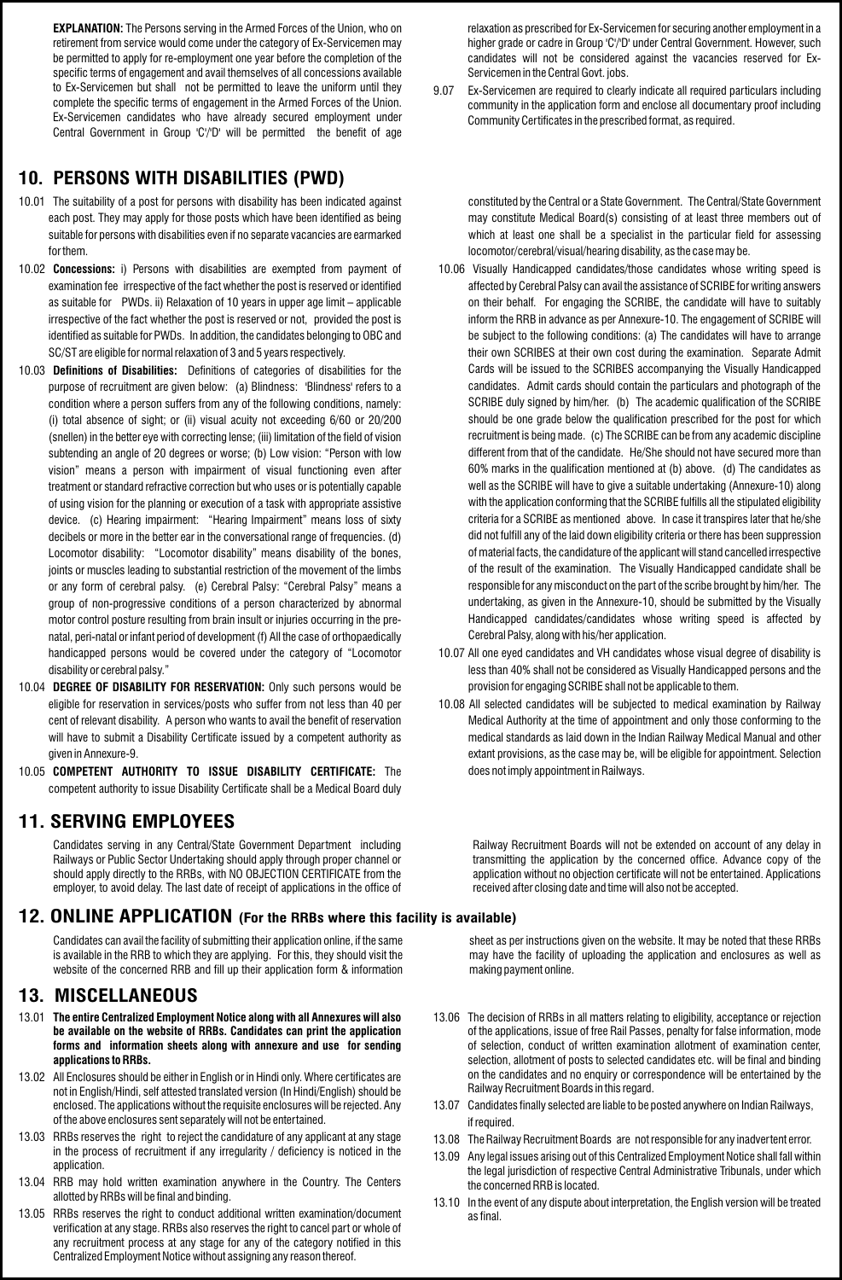**EXPLANATION:** The Persons serving in the Armed Forces of the Union, who on retirement from service would come under the category of Ex-Servicemen may be permitted to apply for re-employment one year before the completion of the specific terms of engagement and avail themselves of all concessions available to Ex-Servicemen but shall not be permitted to leave the uniform until they complete the specific terms of engagement in the Armed Forces of the Union. Ex-Servicemen candidates who have already secured employment under Central Government in Group 'C'/'D' will be permitted the benefit of age

# **10. PERSONS WITH DISABILITIES (PWD)**

- 10.01 The suitability of a post for persons with disability has been indicated against each post. They may apply for those posts which have been identified as being suitable for persons with disabilities even if no separate vacancies are earmarked for them.
- 10.02 **Concessions:** i) Persons with disabilities are exempted from payment of examination fee irrespective of the fact whether the post is reserved or identified as suitable for PWDs. ii) Relaxation of 10 years in upper age limit – applicable irrespective of the fact whether the post is reserved or not, provided the post is identified as suitable for PWDs. In addition, the candidates belonging to OBC and SC/ST are eligible for normal relaxation of 3 and 5 years respectively.
- 10.03 **Definitions of Disabilities:** Definitions of categories of disabilities for the purpose of recruitment are given below: (a) Blindness: 'Blindness' refers to a condition where a person suffers from any of the following conditions, namely: (i) total absence of sight; or (ii) visual acuity not exceeding 6/60 or 20/200 (snellen) in the better eye with correcting lense; (iii) limitation of the field of vision subtending an angle of 20 degrees or worse; (b) Low vision: "Person with low vision" means a person with impairment of visual functioning even after treatment or standard refractive correction but who uses or is potentially capable of using vision for the planning or execution of a task with appropriate assistive device. (c) Hearing impairment: "Hearing Impairment" means loss of sixty decibels or more in the better ear in the conversational range of frequencies. (d) Locomotor disability: "Locomotor disability" means disability of the bones, joints or muscles leading to substantial restriction of the movement of the limbs or any form of cerebral palsy. (e) Cerebral Palsy: "Cerebral Palsy" means a group of non-progressive conditions of a person characterized by abnormal motor control posture resulting from brain insult or injuries occurring in the prenatal, peri-natal or infant period of development (f) All the case of orthopaedically handicapped persons would be covered under the category of "Locomotor disability or cerebral palsy."
- 10.04 **DEGREE OF DISABILITY FOR RESERVATION:** Only such persons would be eligible for reservation in services/posts who suffer from not less than 40 per cent of relevant disability. A person who wants to avail the benefit of reservation will have to submit a Disability Certificate issued by a competent authority as given in Annexure-9.
- 10.05 **COMPETENT AUTHORITY TO ISSUE DISABILITY CERTIFICATE:** The competent authority to issue Disability Certificate shall be a Medical Board duly

# **11. SERVING EMPLOYEES**

Railways or Public Sector Undertaking should apply through proper channel or should apply directly to the RRBs, with NO OBJECTION CERTIFICATE from the employer, to avoid delay. The last date of receipt of applications in the office of Candidates serving in any Central/State Government Department

# **12. ONLINE APPLICATION (For the RRBs where this facility is available)**

Candidates can avail the facility of submitting their application online, if the same is available in the RRB to which they are applying. For this, they should visit the website of the concerned RRB and fill up their application form & information

# **13. MISCELLANEOUS**

- 13.01 **The entire Centralized Employment Notice along with all Annexures will also be available on the website of RRBs. Candidates can print the application forms and information sheets along with annexure and use for sending applications to RRBs.**
- 13.02 All Enclosures should be either in English or in Hindi only. Where certificates are not in English/Hindi, self attested translated version (In Hindi/English) should be enclosed. The applications without the requisite enclosures will be rejected. Any of the above enclosures sent separately will not be entertained.
- 13.03 RRBs reserves the right to reject the candidature of any applicant at any stage in the process of recruitment if any irregularity / deficiency is noticed in the application.
- 13.04 RRB may hold written examination anywhere in the Country. The Centers allotted by RRBs will be final and binding.
- 13.05 RRBs reserves the right to conduct additional written examination/document verification at any stage. RRBs also reserves the right to cancel part or whole of any recruitment process at any stage for any of the category notified in this Centralized Employment Notice without assigning any reason thereof.

relaxation as prescribed for Ex-Servicemen for securing another employment in a higher grade or cadre in Group 'C'/'D' under Central Government. However, such candidates will not be considered against the vacancies reserved for Ex-Servicemen in the Central Govt. jobs.

9.07 Ex-Servicemen are required to clearly indicate all required particulars including community in the application form and enclose all documentary proof including Community Certificates in the prescribed format, as required.

constituted by the Central or a State Government. The Central/State Government may constitute Medical Board(s) consisting of at least three members out of which at least one shall be a specialist in the particular field for assessing locomotor/cerebral/visual/hearing disability, as the case may be.

- 10.06 Visually Handicapped candidates/those candidates whose writing speed is affected by Cerebral Palsy can avail the assistance of SCRIBE for writing answers on their behalf. For engaging the SCRIBE, the candidate will have to suitably inform the RRB in advance as per Annexure-10. The engagement of SCRIBE will be subject to the following conditions: (a) The candidates will have to arrange their own SCRIBES at their own cost during the examination. Separate Admit Cards will be issued to the SCRIBES accompanying the Visually Handicapped candidates. Admit cards should contain the particulars and photograph of the SCRIBE duly signed by him/her. (b) The academic qualification of the SCRIBE should be one grade below the qualification prescribed for the post for which recruitment is being made. (c) The SCRIBE can be from any academic discipline different from that of the candidate. He/She should not have secured more than 60% marks in the qualification mentioned at (b) above. (d) The candidates as well as the SCRIBE will have to give a suitable undertaking (Annexure-10) along with the application conforming that the SCRIBE fulfills all the stipulated eligibility criteria for a SCRIBE as mentioned above. In case it transpires later that he/she did not fulfill any of the laid down eligibility criteria or there has been suppression of material facts, the candidature of the applicant will stand cancelled irrespective of the result of the examination. The Visually Handicapped candidate shall be responsible for any misconduct on the part of the scribe brought by him/her. The undertaking, as given in the Annexure-10, should be submitted by the Visually Handicapped candidates/candidates whose writing speed is affected by Cerebral Palsy, along with his/her application.
- 10.07 All one eyed candidates and VH candidates whose visual degree of disability is less than 40% shall not be considered as Visually Handicapped persons and the provision for engaging SCRIBE shall not be applicable to them.
- 10.08 All selected candidates will be subjected to medical examination by Railway Medical Authority at the time of appointment and only those conforming to the medical standards as laid down in the Indian Railway Medical Manual and other extant provisions, as the case may be, will be eligible for appointment. Selection does not imply appointment in Railways.

including Railway Recruitment Boards will not be extended on account of any delay in transmitting the application by the concerned office. Advance copy of the application without no objection certificate will not be entertained. Applications received after closing date and time will also not be accepted.

> sheet as per instructions given on the website. It may be noted that these RRBs may have the facility of uploading the application and enclosures as well as making payment online.

- 13.06 The decision of RRBs in all matters relating to eligibility, acceptance or rejection of the applications, issue of free Rail Passes, penalty for false information, mode of selection, conduct of written examination allotment of examination center, selection, allotment of posts to selected candidates etc. will be final and binding on the candidates and no enquiry or correspondence will be entertained by the Railway Recruitment Boards in this regard.
- 13.07 Candidates finally selected are liable to be posted anywhere on Indian Railways, if required.
- 13.08 The Railway Recruitment Boards are not responsible for any inadvertent error.
- 13.09 Any legal issues arising out of this Centralized Employment Notice shall fall within the legal jurisdiction of respective Central Administrative Tribunals, under which the concerned RRB is located.
- 13.10 In the event of any dispute about interpretation, the English version will be treated as final.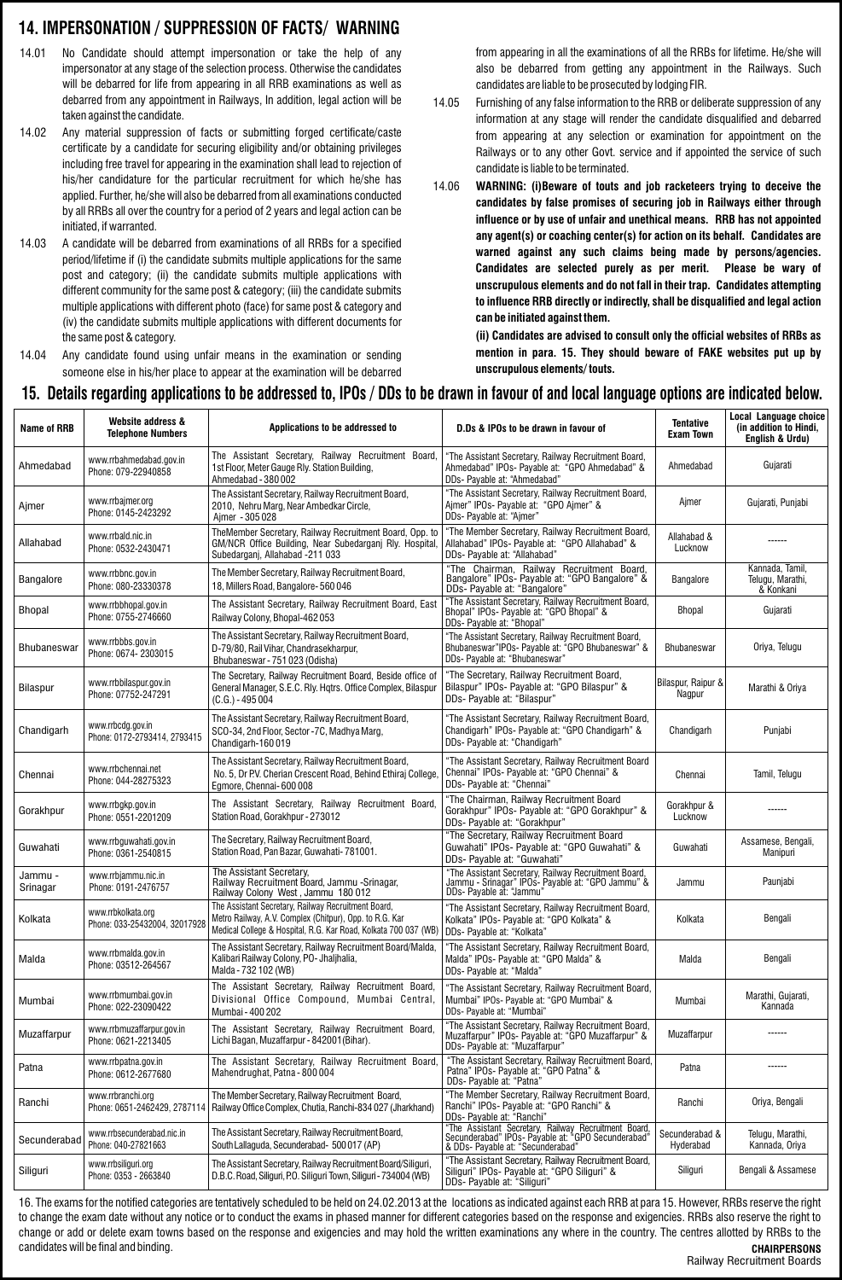### **14. IMPERSONATION / SUPPRESSION OF FACTS/ WARNING**

- 14.01 No Candidate should attempt impersonation or take the help of any impersonator at any stage of the selection process. Otherwise the candidates will be debarred for life from appearing in all RRB examinations as well as debarred from any appointment in Railways, In addition, legal action will be taken against the candidate.
- 14.02 Any material suppression of facts or submitting forged certificate/caste certificate by a candidate for securing eligibility and/or obtaining privileges including free travel for appearing in the examination shall lead to rejection of his/her candidature for the particular recruitment for which he/she has applied. Further, he/she will also be debarred from all examinations conducted by all RRBs all over the country for a period of 2 years and legal action can be initiated, if warranted.
- 14.03 A candidate will be debarred from examinations of all RRBs for a specified period/lifetime if (i) the candidate submits multiple applications for the same post and category; (ii) the candidate submits multiple applications with different community for the same post & category; (iii) the candidate submits multiple applications with different photo (face) for same post & category and (iv) the candidate submits multiple applications with different documents for the same post & category.
- 14.04 Any candidate found using unfair means in the examination or sending someone else in his/her place to appear at the examination will be debarred

from appearing in all the examinations of all the RRBs for lifetime. He/she will also be debarred from getting any appointment in the Railways. Such candidates are liable to be prosecuted by lodging FIR.

- 14.05 Furnishing of any false information to the RRB or deliberate suppression of any information at any stage will render the candidate disqualified and debarred from appearing at any selection or examination for appointment on the Railways or to any other Govt. service and if appointed the service of such candidate is liable to be terminated.
- 14.06 **WARNING: (i)Beware of touts and job racketeers trying to deceive the candidates by false promises of securing job in Railways either through influence or by use of unfair and unethical means. RRB has not appointed any agent(s) or coaching center(s) for action on its behalf. Candidates are warned against any such claims being made by persons/agencies. Candidates are selected purely as per merit. Please be wary of unscrupulous elements and do not fall in their trap. Candidates attempting to influence RRB directly or indirectly, shall be disqualified and legal action can be initiated against them.**

**(ii) Candidates are advised to consult only the official websites of RRBs as mention in para. 15. They should beware of FAKE websites put up by unscrupulous elements/ touts.**

#### **15. Details regarding applications to be addressed to, IPOs / DDs to be drawn in favour of and local language options are indicated below.**

| Name of RRB         | Website address &<br><b>Telephone Numbers</b>       | Applications to be addressed to                                                                                                                                                   | D.Ds & IPOs to be drawn in favour of                                                                                                            | <b>Tentative</b><br><b>Exam Town</b> | Local Language choice<br>(in addition to Hindi,<br>English & Urdu) |
|---------------------|-----------------------------------------------------|-----------------------------------------------------------------------------------------------------------------------------------------------------------------------------------|-------------------------------------------------------------------------------------------------------------------------------------------------|--------------------------------------|--------------------------------------------------------------------|
| Ahmedabad           | www.rrbahmedabad.gov.in<br>Phone: 079-22940858      | The Assistant Secretary, Railway Recruitment Board,<br>1st Floor, Meter Gauge Rly. Station Building,<br>Ahmedabad - 380 002                                                       | "The Assistant Secretary, Railway Recruitment Board,<br>Ahmedabad" IPOs- Payable at: "GPO Ahmedabad" &<br>DDs- Payable at: "Ahmedabad"          | Ahmedabad                            | Gujarati                                                           |
| Ajmer               | www.rrbajmer.org<br>Phone: 0145-2423292             | The Assistant Secretary, Railway Recruitment Board,<br>2010, Nehru Marg, Near Ambedkar Circle,<br>Ajmer - 305 028                                                                 | "The Assistant Secretary, Railway Recruitment Board,<br>Ajmer" IPOs- Payable at: "GPO Ajmer" &<br>DDs- Payable at: "Ajmer"                      | Ajmer                                | Gujarati, Punjabi                                                  |
| Allahabad           | www.rrbald.nic.in<br>Phone: 0532-2430471            | TheMember Secretary, Railway Recruitment Board, Opp. to<br>GM/NCR Office Building, Near Subedarganj Rly. Hospital,<br>Subedarganj, Allahabad -211 033                             | "The Member Secretary, Railway Recruitment Board,<br>Allahabad" IPOs- Payable at: "GPO Allahabad" &<br>DDs- Payable at: "Allahabad"             | Allahabad &<br>Lucknow               |                                                                    |
| <b>Bangalore</b>    | www.rrbbnc.gov.in<br>Phone: 080-23330378            | The Member Secretary, Railway Recruitment Board,<br>18, Millers Road, Bangalore-560046                                                                                            | "The Chairman, Railway Recruitment Board,<br>Bangalore" IPOs- Payable at: "GPO Bangalore" &<br>DDs- Payable at: "Bangalore"                     | <b>Bangalore</b>                     | Kannada, Tamil,<br>Telugu, Marathi,<br>& Konkani                   |
| <b>Bhopal</b>       | www.rrbbhopal.gov.in<br>Phone: 0755-2746660         | The Assistant Secretary, Railway Recruitment Board, East<br>Railway Colony, Bhopal-462053                                                                                         | "The Assistant Secretary, Railway Recruitment Board,<br>Bhopal" IPOs- Payable at: "GPO Bhopal" &<br>DDs- Payable at: "Bhopal"                   | Bhopal                               | Gujarati                                                           |
| Bhubaneswar         | www.rrbbbs.gov.in<br>Phone: 0674-2303015            | The Assistant Secretary, Railway Recruitment Board,<br>D-79/80, Rail Vihar, Chandrasekharpur,<br>Bhubaneswar - 751 023 (Odisha)                                                   | "The Assistant Secretary, Railway Recruitment Board,<br>Bhubaneswar" IPOs- Payable at: "GPO Bhubaneswar" &<br>DDs- Payable at: "Bhubaneswar"    | <b>Bhubaneswar</b>                   | Oriya, Telugu                                                      |
| Bilaspur            | www.rrbbilaspur.gov.in<br>Phone: 07752-247291       | The Secretary, Railway Recruitment Board, Beside office of<br>General Manager, S.E.C. Rly. Hqtrs. Office Complex, Bilaspur<br>$(C.G.) - 495004$                                   | "The Secretary, Railway Recruitment Board,<br>Bilaspur" IPOs- Payable at: "GPO Bilaspur" &<br>DDs- Payable at: "Bilaspur"                       | Bilaspur, Raipur &<br>Nagpur         | Marathi & Oriya                                                    |
| Chandigarh          | www.rrbcdg.gov.in<br>Phone: 0172-2793414, 2793415   | The Assistant Secretary, Railway Recruitment Board,<br>SCO-34, 2nd Floor, Sector -7C, Madhya Marg,<br>Chandigarh-160019                                                           | "The Assistant Secretary, Railway Recruitment Board,<br>Chandigarh" IPOs- Payable at: "GPO Chandigarh" &<br>DDs- Payable at: "Chandigarh"       | Chandigarh                           | Punjabi                                                            |
| Chennai             | www.rrbchennai.net<br>Phone: 044-28275323           | The Assistant Secretary, Railway Recruitment Board,<br>No. 5, Dr P.V. Cherian Crescent Road, Behind Ethiraj College,<br>Egmore, Chennai-600008                                    | "The Assistant Secretary, Railway Recruitment Board<br>Chennai" IPOs- Payable at: "GPO Chennai" &<br>DDs- Payable at: "Chennai"                 | Chennai                              | Tamil, Telugu                                                      |
| Gorakhpur           | www.rrbgkp.gov.in<br>Phone: 0551-2201209            | The Assistant Secretary, Railway Recruitment Board,<br>Station Road, Gorakhpur - 273012                                                                                           | "The Chairman, Railway Recruitment Board<br>Gorakhpur" IPOs- Payable at: "GPO Gorakhpur" &<br>DDs- Payable at: "Gorakhpur"                      | Gorakhpur &<br>Lucknow               |                                                                    |
| Guwahati            | www.rrbguwahati.gov.in<br>Phone: 0361-2540815       | The Secretary, Railway Recruitment Board,<br>Station Road, Pan Bazar, Guwahati-781001.                                                                                            | "The Secretary, Railway Recruitment Board<br>Guwahati" IPOs- Payable at: "GPO Guwahati" &<br>DDs- Payable at: "Guwahati"                        | Guwahati                             | Assamese, Bengali,<br>Manipuri                                     |
| Jammu -<br>Srinagar | www.rrbjammu.nic.in<br>Phone: 0191-2476757          | The Assistant Secretary,<br>Railway Recruitment Board, Jammu -Srinagar,<br>Railway Colony West, Jammu 180 012                                                                     | "The Assistant Secretary, Railway Recruitment Board,<br>Jammu - Srinagar" IPOS- Payable at: "GPO Jammu" &<br>DDs- Payable at: "Jammu"           | Jammu                                | Paunjabi                                                           |
| Kolkata             | www.rrbkolkata.org<br>Phone: 033-25432004, 32017928 | The Assistant Secretary, Railway Recruitment Board,<br>Metro Railway, A.V. Complex (Chitpur), Opp. to R.G. Kar<br>Medical College & Hospital, R.G. Kar Road, Kolkata 700 037 (WB) | "The Assistant Secretary, Railway Recruitment Board,<br>Kolkata" IPOs- Payable at: "GPO Kolkata" &<br>DDs- Payable at: "Kolkata"                | Kolkata                              | Bengali                                                            |
| Malda               | www.rrbmalda.gov.in<br>Phone: 03512-264567          | The Assistant Secretary, Railway Recruitment Board/Malda,<br>Kalibari Railway Colony, PO- Jhaljhalia,<br>Malda - 732 102 (WB)                                                     | "The Assistant Secretary, Railway Recruitment Board,<br>Malda" IPOs- Payable at: "GPO Malda" &<br>DDs- Payable at: "Malda"                      | Malda                                | Bengali                                                            |
| Mumbai              | www.rrbmumbai.gov.in<br>Phone: 022-23090422         | The Assistant Secretary, Railway Recruitment Board,<br>Divisional Office Compound, Mumbai Central,<br>Mumbai - 400 202                                                            | "The Assistant Secretary, Railway Recruitment Board,<br>Mumbai" IPOs- Payable at: "GPO Mumbai" &<br>DDs- Payable at: "Mumbai"                   | Mumbai                               | Marathi, Gujarati,<br>Kannada                                      |
| Muzaffarpur         | www.rrbmuzaffarpur.gov.in<br>Phone: 0621-2213405    | The Assistant Secretary, Railway Recruitment Board,<br>Lichi Bagan, Muzaffarpur - 842001 (Bihar).                                                                                 | "The Assistant Secretary, Railway Recruitment Board,<br>Muzaffarpur" IPOs- Payable at: "GPO Muzaffarpur" &<br>DDs- Payable at: "Muzaffarpur"    | Muzaffarpur                          |                                                                    |
| Patna               | www.rrbpatna.gov.in<br>Phone: 0612-2677680          | The Assistant Secretary, Railway Recruitment Board,<br>Mahendrughat, Patna - 800 004                                                                                              | "The Assistant Secretary, Railway Recruitment Board,<br>Patna" IPOs- Payable at: "GPO Patna" &<br>DDs- Payable at: "Patna"                      | Patna                                |                                                                    |
| Ranchi              | www.rrbranchi.org<br>Phone: 0651-2462429, 2787114   | The Member Secretary, Railway Recruitment Board,<br>Railway Office Complex, Chutia, Ranchi-834 027 (Jharkhand)                                                                    | "The Member Secretary, Railway Recruitment Board,<br>Ranchi" IPOs- Payable at: "GPO Ranchi" &<br>DDs- Payable at: "Ranchi"                      | Ranchi                               | Oriya, Bengali                                                     |
| Secunderabad        | www.rrbsecunderabad.nic.in<br>Phone: 040-27821663   | The Assistant Secretary, Railway Recruitment Board,<br>South Lallaguda, Secunderabad- 500 017 (AP)                                                                                | "The Assistant Secretary, Railway Recruitment Board,<br>Secunderabad" IPOs- Payable at: "GPO Secunderabad"<br>& DDs- Payable at: "Secunderabad" | Secunderabad &<br>Hyderabad          | Telugu, Marathi,<br>Kannada, Oriya                                 |
| Siliguri            | www.rrbsiliguri.org<br>Phone: 0353 - 2663840        | The Assistant Secretary, Railway Recruitment Board/Siliguri,<br>D.B.C. Road, Siliguri, P.O. Siliguri Town, Siliguri - 734004 (WB)                                                 | "The Assistant Secretary, Railway Recruitment Board,<br>Siliguri" IPOs- Payable at: "GPO Siliguri" &<br>DDs- Payable at: "Siliguri"             | Siliguri                             | Bengali & Assamese                                                 |

16. The exams for the notified categories are tentatively scheduled to be held on 24.02.2013 at the locations as indicated against each RRB at para 15. However, RRBs reserve the right to change the exam date without any notice or to conduct the exams in phased manner for different categories based on the response and exigencies. RRBs also reserve the right to change or add or delete exam towns based on the response and exigencies and may hold the written examinations any where in the country. The centres allotted by RRBs to the candidates will be final and binding. **CHAIRPERSONS**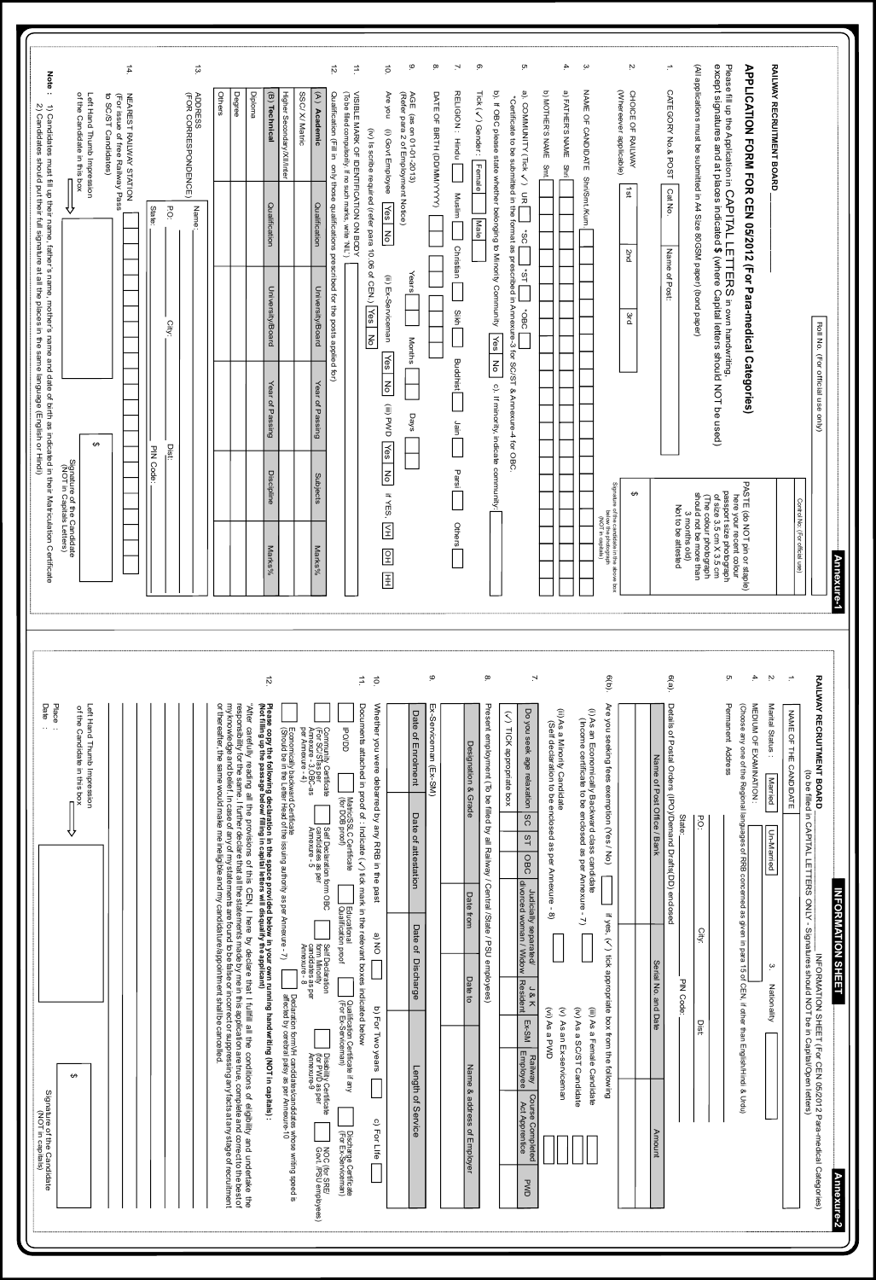| Note:<br>2) Candidates should put their full signature at all the places in the same language (English or Hindi)<br>1) Candidates must fill up their name, father's name, mother's name and date of birth as indicated in their Matriculation Certificate | Left Hand Thumb Impression<br>of the Candidate in this box<br>∨<br>↔<br>Signature of the Candidate<br>(NOT in Capitals Letters) | $\sharp$<br>to SC/ST Candidates)<br>NEAREST RAILWAY STATION<br>(For issue of free Railway Pass | $\ddot{3}$<br><b>ADRESPONDENCE</b> )<br>CHOR CORRESPONDENCE<br>P.O.<br>Name:<br>State:<br>City:<br>PIN Code:<br>Dist: | Degree<br>Diploma<br>Higher Secondary/XII/Inter<br>Others<br>(B) Technical<br>Qualification<br>University/Board<br>Year of Passing<br><b>Discipline</b><br>Marks%                                                                                                                                                                                                                                                                                                                                                                                                                                                                                                                                                  | 12.<br>SSC/ X/ Matric<br>(To be filled compulsorily. If no such marks, write 'NIL')<br>$(A)$ Academic<br>Qualification (Fill in only those qualifications prescribed for the posts applied<br>Qualification<br>University/Board<br>tor)<br>Year of Passing<br>Subjects<br>Marks%                                                                                                                                                                                                                                                                                  | ق<br>ġ.<br>$\overrightarrow{1}$<br>$\overleftrightarrow{\mathbf{c}}$<br>DATE OF BIRTH (DD/MM/YYYY)<br>NISIBILE MARK OF IDENTIFICATION ON BODY<br>Are you<br>(Refer para 2 of Employment Notice)<br>AGE (as on 01-01-2013)<br>(i) Govt Employee<br>(iv) Is scribe required (refer para 10.06 of CEN.) Yes<br>Yes<br>$rac{1}{6}$<br>Years<br>(ii) Ex-Serviceman<br>N <sub>O</sub><br>Months<br>$\sqrt{e^s}$<br>$rac{1}{\sigma}$<br>(iii) PWD<br>Days<br>Yes No<br>If YES, VH<br>$\boxed{2}$<br>$\mathbb{E}$ | $\mathbf{r}$<br>ō.<br>ō.<br>4.<br>b). If OBC please state whether belonging to Minority Community<br>a). COMMUNITY (Tick /) UR<br><b>D) MOTHER'S NAME</b><br>a) FAIHER'S NAME<br>Tick $(\sqrt{})$ Gender:<br>RELIGION: Hindu<br>*Certificate to be submitted in the form as presscribed in Annexies 3 for SC/ST & Annexiu-4 for OBC<br>Female<br>Smt.<br>Shri<br>Muslim<br>Male<br>$rac{6}{10}$<br>Christian<br>$\frac{1}{5}$<br>CBC+<br>Sikh<br>Yes No<br><b>Buddhist</b><br>c). If minority, indicate community:<br>Jain<br>Parsi<br><b>Others</b>                        | ب<br>'n<br>(Whereever applicable)<br>NAME OF CANDIDATE<br>CHOICE OF RAILWAY<br>Shri/Smt./Kum.<br>$181$<br><b>Znd</b><br>3rd<br>Signature of the candidate in the<br>holograph<br>(NOT in capitals)<br>(NOT in capitals)<br>$\pmb{\ominus}$<br>ebove box                                         | $\overline{\phantom{a}}$<br>(All applications must be submitted in A4 Size 80GSM paper) (bond paper)<br>RAILMAY RECRUITMENT BOARD<br>Please fill up the Application in CAPITAL LETTERS in own handwritting,<br>except signatures and at places indicated \$ (where Capital letters should NOT be used)<br>APPLICATION FORM FOR CEN 05/2012 (For Para-medical Categories)<br>CATEGORY No.& POST<br>Cat No.<br>Name of Post:<br>PASTE (do NOT pin or staple)<br>here your recent colour<br>passport size photograph<br>of size 3.5 cm X 3.5 cm<br>(The colour photograph<br>should not be more than<br>3 months old)<br>Not to be attested | Roll No. (For official use only)<br>Control No: (For official use)<br><b>Ann</b><br>lexure-1                                                                                                                                                                                                                                                               |
|-----------------------------------------------------------------------------------------------------------------------------------------------------------------------------------------------------------------------------------------------------------|---------------------------------------------------------------------------------------------------------------------------------|------------------------------------------------------------------------------------------------|-----------------------------------------------------------------------------------------------------------------------|--------------------------------------------------------------------------------------------------------------------------------------------------------------------------------------------------------------------------------------------------------------------------------------------------------------------------------------------------------------------------------------------------------------------------------------------------------------------------------------------------------------------------------------------------------------------------------------------------------------------------------------------------------------------------------------------------------------------|-------------------------------------------------------------------------------------------------------------------------------------------------------------------------------------------------------------------------------------------------------------------------------------------------------------------------------------------------------------------------------------------------------------------------------------------------------------------------------------------------------------------------------------------------------------------|-----------------------------------------------------------------------------------------------------------------------------------------------------------------------------------------------------------------------------------------------------------------------------------------------------------------------------------------------------------------------------------------------------------------------------------------------------------------------------------------------------------|-----------------------------------------------------------------------------------------------------------------------------------------------------------------------------------------------------------------------------------------------------------------------------------------------------------------------------------------------------------------------------------------------------------------------------------------------------------------------------------------------------------------------------------------------------------------------------|-------------------------------------------------------------------------------------------------------------------------------------------------------------------------------------------------------------------------------------------------------------------------------------------------|------------------------------------------------------------------------------------------------------------------------------------------------------------------------------------------------------------------------------------------------------------------------------------------------------------------------------------------------------------------------------------------------------------------------------------------------------------------------------------------------------------------------------------------------------------------------------------------------------------------------------------------|------------------------------------------------------------------------------------------------------------------------------------------------------------------------------------------------------------------------------------------------------------------------------------------------------------------------------------------------------------|
| Date<br>Place<br>Signature of the Candidate<br>(NOT in capitals)<br>(NOT in capitals)                                                                                                                                                                     | Left Hand Thumb Impression<br>of the Candidate in this box<br>C<br>↮                                                            |                                                                                                |                                                                                                                       | $\frac{1}{2}$<br>"After carefully reading all the provisions of this CEN, I here by declare that I fullfill all the conditions of eligibility and undertake the<br>responsibility for the same. I further declare that all the statements made by<br>Please copy the following declaration in the space provided below in your own running handwriting (NOT in capitals) :<br>(Not filling up the passage below/ filling in capital letters will disqualify the applicant)<br>Economically backward Certificate<br>(Should be in the Letter Head of the issuing authority as per Annexure - 7)<br>Declaration formVH candidates/candidates whose writing speed is<br>affected by cerebral palsy as per Annexure-10 | Community Certificate<br>  (For SC/STas per<br>  Annexure - 3,0BC-as<br><b>PO/DD</b><br>per Annexure - 4)<br>Matric/SSLC Certificate<br>(for DOB proof)<br>Self Declaration form OBC<br>candidates as per<br>Annexure - 5<br>Educational<br>Qualification proof<br>] Self Declaration<br>  form Minority<br>  candidates as per<br>  Annexure - 8<br>Qualification Certificate if any<br>(For Ex-Serviceman)<br>Disability Certificate<br>(for PWD as per<br>Annexure-9<br>Discharge Certificate<br>(For Ex-Serviceman)<br>NOC (for SRE/<br>Govt. /PSU employees) | $\overline{0}$<br>ق<br>$\overrightarrow{1}$<br>Documents attached in proof of : Indicate ( $\sqrt{ }$ ) tick mark in the relevant boxes indicated below<br>Whether you were debarred by any RRB in the past<br>Ex-Serviceman (Ex-SM)<br>Date of Enrolment<br>Date of attestation<br>Date<br>a) NO<br>$\mathsf{Q}_\mathsf{t}$<br>Discharge<br>b) For Two years<br>Length of<br>Service<br>c) For Life [                                                                                                    | $\rm \infty$<br>$\geq$<br>Present employment (To be filled by all Railway / Central /State / PSU employees)<br>Do you seek age relaxation<br>(ii) As a Minority Candidate<br>(V) TICK appropriate box<br>(Self declaration to be enclosed as per Annexure - 8)<br>Designation & Grade<br>SC<br>21<br>OBC<br>Judicially separated/<br>divorced woman / Widow<br>Date from<br>Date to<br><b>Resident</b><br>J&K<br>(vi) As a PWD<br>(v) As an Ex-serviceman<br>Ex-SM<br>Railway<br>Employee<br>Name & address of Employer<br>Course Completed<br>Act Apprentice<br><b>DWD</b> | 6(b)<br>Are you seeking fees exemption (Yes / No)<br>(i) As an Economically Backward class candidate<br>(Income certificate to be enclosed as per Annexure -<br>if yes, $(\checkmark)$ itch appropriate box from the following<br>S<br>(iv) As a SC/ST Candidate<br>(iii) As a Female Candidate | 4.<br>'n,<br>$6(a)$ .<br>ō.<br><b>NEDICA OF EXAMINATION:</b><br>Details of Postal Orders (IPO)/Demand Drafts(DD) enclosed<br>Permanent Address<br>(Choose any one of the Regional languages of RRB concerned as given in para 15 of CEN, if other than English/Hindi & Urd<br>Marital Status :<br>Name of Post Office / Bank<br>Married<br>State:<br>P.G.<br>Un-Married<br>City:<br>Serial No. and Date<br>بہ<br>PIN Code:<br>Nationality<br>Dist:<br>Ξ<br>Amount                                                                                                                                                                        | $\overline{a}$<br>RAILWAY RECRUITMENT BOARD<br>NAME OF THE CANDIDATE<br>I <b>T BOARD</b><br>(to be filled in CAPITAL LETTERS ONLY - Signatures should NOT be in Capital/Open letters)<br>(to be filled in CAPITAL LETTERS ONLY - Signatures should NOT be in Capital/Open letters)<br><b>INFORMATION SHEET</b><br>2 Para-medical Categories)<br>Annexure-2 |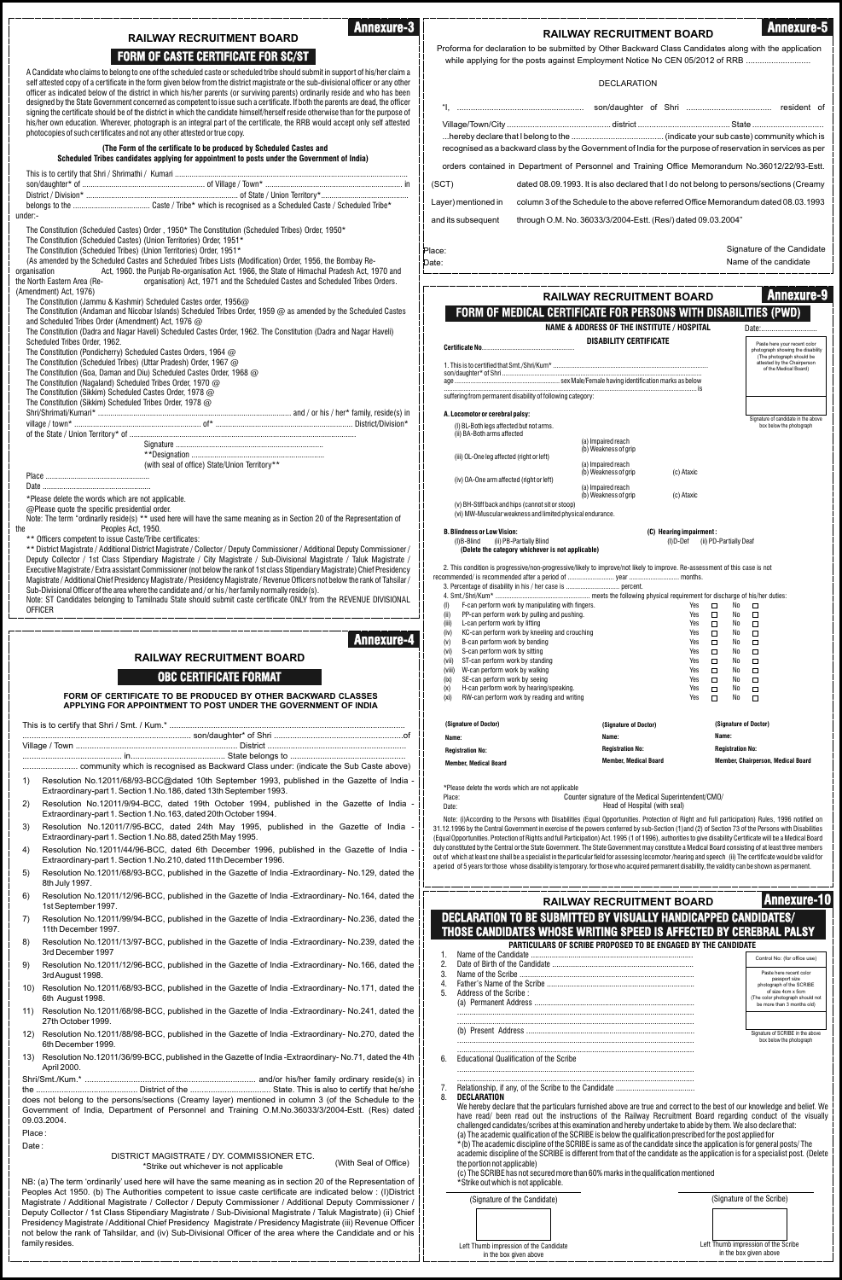| <b>Annexure-3</b>                                                                                                                                                                                                                                                    |                                                                                         | <b>RAILWAY RECRUITMENT BOARD</b>                                                                                                                                                                                                                                                                                  | <b>Annexure-5</b>                                                                             |
|----------------------------------------------------------------------------------------------------------------------------------------------------------------------------------------------------------------------------------------------------------------------|-----------------------------------------------------------------------------------------|-------------------------------------------------------------------------------------------------------------------------------------------------------------------------------------------------------------------------------------------------------------------------------------------------------------------|-----------------------------------------------------------------------------------------------|
| <b>RAILWAY RECRUITMENT BOARD</b><br><b>FORM OF CASTE CERTIFICATE FOR SC/ST</b>                                                                                                                                                                                       |                                                                                         | Proforma for declaration to be submitted by Other Backward Class Candidates along with the application                                                                                                                                                                                                            |                                                                                               |
| A Candidate who claims to belong to one of the scheduled caste or scheduled tribe should submit in support of his/her claim a                                                                                                                                        |                                                                                         | while applying for the posts against Employment Notice No CEN 05/2012 of RRB                                                                                                                                                                                                                                      |                                                                                               |
| self attested copy of a certificate in the form given below from the district magistrate or the sub-divisional officer or any other<br>officer as indicated below of the district in which his/her parents (or surviving parents) ordinarily reside and who has been |                                                                                         | <b>DECLARATION</b>                                                                                                                                                                                                                                                                                                |                                                                                               |
| designed by the State Government concerned as competent to issue such a certificate. If both the parents are dead, the officer                                                                                                                                       |                                                                                         |                                                                                                                                                                                                                                                                                                                   |                                                                                               |
| signing the certificate should be of the district in which the candidate himself/herself reside otherwise than for the purpose of<br>his/her own education. Wherever, photograph is an integral part of the certificate, the RRB would accept only self attested     |                                                                                         |                                                                                                                                                                                                                                                                                                                   |                                                                                               |
| photocopies of such certificates and not any other attested or true copy.                                                                                                                                                                                            |                                                                                         |                                                                                                                                                                                                                                                                                                                   |                                                                                               |
| (The Form of the certificate to be produced by Scheduled Castes and<br>Scheduled Tribes candidates applying for appointment to posts under the Government of India)                                                                                                  |                                                                                         | recognised as a backward class by the Government of India for the purpose of reservation in services as per                                                                                                                                                                                                       |                                                                                               |
|                                                                                                                                                                                                                                                                      |                                                                                         | orders contained in Department of Personnel and Training Office Memorandum No.36012/22/93-Estt.                                                                                                                                                                                                                   |                                                                                               |
|                                                                                                                                                                                                                                                                      | (SCT)                                                                                   | dated 08.09.1993. It is also declared that I do not belong to persons/sections (Creamy                                                                                                                                                                                                                            |                                                                                               |
| under:-                                                                                                                                                                                                                                                              | Layer) mentioned in                                                                     | column 3 of the Schedule to the above referred Office Memorandum dated 08.03.1993                                                                                                                                                                                                                                 |                                                                                               |
| The Constitution (Scheduled Castes) Order, 1950* The Constitution (Scheduled Tribes) Order, 1950*                                                                                                                                                                    | and its subsequent                                                                      | through O.M. No. 36033/3/2004-Estt. (Res/) dated 09.03.2004"                                                                                                                                                                                                                                                      |                                                                                               |
| The Constitution (Scheduled Castes) (Union Territories) Order, 1951*<br>The Constitution (Scheduled Tribes) (Union Territories) Order, 1951*                                                                                                                         | Place:                                                                                  |                                                                                                                                                                                                                                                                                                                   | Signature of the Candidate                                                                    |
| (As amended by the Scheduled Castes and Scheduled Tribes Lists (Modification) Order, 1956, the Bombay Re-<br>Act, 1960, the Punjab Re-organisation Act, 1966, the State of Himachal Pradesh Act, 1970 and<br>organisation                                            | Date:                                                                                   |                                                                                                                                                                                                                                                                                                                   | Name of the candidate                                                                         |
| organisation) Act, 1971 and the Scheduled Castes and Scheduled Tribes Orders.<br>the North Eastern Area (Re-<br>(Amendment) Act, 1976)                                                                                                                               |                                                                                         |                                                                                                                                                                                                                                                                                                                   |                                                                                               |
| The Constitution (Jammu & Kashmir) Scheduled Castes order, 1956@                                                                                                                                                                                                     |                                                                                         | <b>RAILWAY RECRUITMENT BOARD</b>                                                                                                                                                                                                                                                                                  | <b>Annexure-9</b>                                                                             |
| The Constitution (Andaman and Nicobar Islands) Scheduled Tribes Order, 1959 @ as amended by the Scheduled Castes<br>and Scheduled Tribes Order (Amendment) Act, 1976 @                                                                                               |                                                                                         | <b>FORM OF MEDICAL CERTIFICATE FOR PERSONS WITH DISABILITIES (PWD)</b><br><b>NAME &amp; ADDRESS OF THE INSTITUTE / HOSPITAL</b>                                                                                                                                                                                   | Date:                                                                                         |
| The Constitution (Dadra and Nagar Haveli) Scheduled Castes Order, 1962. The Constitution (Dadra and Nagar Haveli)<br>Scheduled Tribes Order, 1962.                                                                                                                   |                                                                                         | <b>DISABILITY CERTIFICATE</b>                                                                                                                                                                                                                                                                                     | Paste here your recent color                                                                  |
| The Constitution (Pondicherry) Scheduled Castes Orders, 1964 @<br>The Constitution (Scheduled Tribes) (Uttar Pradesh) Order, 1967 @                                                                                                                                  |                                                                                         |                                                                                                                                                                                                                                                                                                                   | photograph showing the disability<br>(The photograph should be<br>attested by the Chairperson |
| The Constitution (Goa, Daman and Diu) Scheduled Castes Order, 1968 @<br>The Constitution (Nagaland) Scheduled Tribes Order, 1970 @                                                                                                                                   |                                                                                         |                                                                                                                                                                                                                                                                                                                   | of the Medical Board)                                                                         |
| The Constitution (Sikkim) Scheduled Castes Order, 1978 @                                                                                                                                                                                                             |                                                                                         | suffering from permanent disability of following category:                                                                                                                                                                                                                                                        |                                                                                               |
| The Constitution (Sikkim) Scheduled Tribes Order, 1978 @                                                                                                                                                                                                             | A. Locomotor or cerebral palsy:                                                         |                                                                                                                                                                                                                                                                                                                   | Signature of candidate in the above                                                           |
|                                                                                                                                                                                                                                                                      | (I) BL-Both legs affected but not arms.<br>(ii) BA-Both arms affected                   |                                                                                                                                                                                                                                                                                                                   | box below the photograph                                                                      |
|                                                                                                                                                                                                                                                                      |                                                                                         | (a) Impaired reach<br>(b) Weakness of grip                                                                                                                                                                                                                                                                        |                                                                                               |
| (with seal of office) State/Union Territory**                                                                                                                                                                                                                        | (iii) OL-One leg affected (right or left)                                               | (a) Impaired reach<br>(b) Weakness of grip<br>(c) Ataxic                                                                                                                                                                                                                                                          |                                                                                               |
|                                                                                                                                                                                                                                                                      | (iv) OA-One arm affected (right or left)                                                | (a) Impaired reach                                                                                                                                                                                                                                                                                                |                                                                                               |
| *Please delete the words which are not applicable.<br>@Please quote the specific presidential order.                                                                                                                                                                 | (v) BH-Stiff back and hips (cannot sit or stoop)                                        | (b) Weakness of grip<br>(c) Ataxic                                                                                                                                                                                                                                                                                |                                                                                               |
| Note: The term "ordinarily reside(s) ** used here will have the same meaning as in Section 20 of the Representation of                                                                                                                                               |                                                                                         | (vi) MW-Muscular weakness and limited physical endurance.                                                                                                                                                                                                                                                         |                                                                                               |
| Peoples Act, 1950.<br>** Officers competent to issue Caste/Tribe certificates:                                                                                                                                                                                       | <b>B. Blindness or Low Vision:</b><br>(I)B-Blind (ii) PB-Partially Blind                | (C) Hearing impairment:<br>(I) D-Def (ii) PD-Partially Deaf                                                                                                                                                                                                                                                       |                                                                                               |
| ** District Magistrate / Additional District Magistrate / Collector / Deputy Commissioner / Additional Deputy Commissioner /<br>Deputy Collector / 1st Class Stipendiary Magistrate / City Magistrate / Sub-Divisional Magistrate / Taluk Magistrate /               |                                                                                         | (Delete the category whichever is not applicable)                                                                                                                                                                                                                                                                 |                                                                                               |
| Executive Magistrate / Extra assistant Commissioner (not below the rank of 1st class Stipendiary Magistrate) Chief Presidency<br>Magistrate / Additional Chief Presidency Magistrate / Presidency Magistrate / Revenue Officers not below the rank of Tahsilar /     |                                                                                         | 2. This condition is progressive/non-progressive/likely to improve/not likely to improve. Re-assessment of this case is not<br>recommended/ is recommended after a period of  year  months.                                                                                                                       |                                                                                               |
| Sub-Divisional Officer of the area where the candidate and / or his / her family normally reside(s).                                                                                                                                                                 |                                                                                         |                                                                                                                                                                                                                                                                                                                   |                                                                                               |
| Note: ST Candidates belonging to Tamilnadu State should submit caste certificate ONLY from the REVENUE DIVISIONAL<br><b>OFFICER</b>                                                                                                                                  | (1)<br>(ii)                                                                             | F-can perform work by manipulating with fingers.<br>Yes<br>PP-can perform work by pulling and pushing.<br>Yes                                                                                                                                                                                                     | No<br>□<br>$\Box$<br>No<br>$\Box$<br>$\Box$                                                   |
|                                                                                                                                                                                                                                                                      | L-can perform work by lifting<br>(iii)<br>(iv)                                          | Yes<br>KC-can perform work by kneeling and crouching<br>Yes                                                                                                                                                                                                                                                       | $\Box$<br>No<br>$\Box$<br>$\Box$<br>No<br>$\Box$                                              |
| <b>Annexure-4</b>                                                                                                                                                                                                                                                    | B-can perform work by bending<br>(V)<br>S-can perform work by sitting<br>(vi)           | Yes<br>Yes                                                                                                                                                                                                                                                                                                        | $\Box$<br>No<br>$\Box$<br>$\Box$<br>No<br>$\Box$                                              |
| <b>RAILWAY RECRUITMENT BOARD</b>                                                                                                                                                                                                                                     | ST-can perform work by standing<br>(vii)<br>(viii)<br>W-can perform work by walking     | Yes<br>Yes                                                                                                                                                                                                                                                                                                        | No<br>□<br>$\Box$<br>$\Box$<br>□<br>No                                                        |
| <b>OBC CERTIFICATE FORMAT</b>                                                                                                                                                                                                                                        | SE-can perform work by seeing<br>(ix)<br>H-can perform work by hearing/speaking.<br>(x) | Yes<br>Yes                                                                                                                                                                                                                                                                                                        | $\Box$<br>No<br>$\Box$<br>$\Box$<br>No<br>$\Box$                                              |
| FORM OF CERTIFICATE TO BE PRODUCED BY OTHER BACKWARD CLASSES<br>APPLYING FOR APPOINTMENT TO POST UNDER THE GOVERNMENT OF INDIA                                                                                                                                       | (xi)                                                                                    | RW-can perform work by reading and writing<br>Yes                                                                                                                                                                                                                                                                 | $\Box$<br>No<br>$\Box$                                                                        |
|                                                                                                                                                                                                                                                                      | (Signature of Doctor)                                                                   | (Signature of Doctor)                                                                                                                                                                                                                                                                                             | (Signature of Doctor)                                                                         |
|                                                                                                                                                                                                                                                                      | Name:                                                                                   | Name:                                                                                                                                                                                                                                                                                                             | Name:<br><b>Registration No:</b>                                                              |
|                                                                                                                                                                                                                                                                      | <b>Registration No:</b><br><b>Member, Medical Board</b>                                 | <b>Registration No:</b><br><b>Member, Medical Board</b>                                                                                                                                                                                                                                                           | Member, Chairperson, Medical Board                                                            |
| Resolution No.12011/68/93-BCC@dated 10th September 1993, published in the Gazette of India -<br>1)                                                                                                                                                                   |                                                                                         |                                                                                                                                                                                                                                                                                                                   |                                                                                               |
| Extraordinary-part 1. Section 1. No. 186, dated 13th September 1993.<br>Resolution No.12011/9/94-BCC, dated 19th October 1994, published in the Gazette of India -<br>2)                                                                                             | *Please delete the words which are not applicable<br>Place:                             | Counter signature of the Medical Superintendent/CMO/                                                                                                                                                                                                                                                              |                                                                                               |
| Extraordinary-part 1. Section 1. No. 163, dated 20th October 1994.                                                                                                                                                                                                   | Date:                                                                                   | Head of Hospital (with seal)<br>Note: (i)According to the Persons with Disabilities (Equal Opportunities. Protection of Right and Full participation) Rules, 1996 notified on                                                                                                                                     |                                                                                               |
| Resolution No.12011/7/95-BCC, dated 24th May 1995, published in the Gazette of India<br>3)<br>Extraordinary-part 1. Section 1. No.88, dated 25th May 1995.                                                                                                           |                                                                                         | 31.12.1996 by the Central Government in exercise of the powers conferred by sub-Section (1)and (2) of Section 73 of the Persons with Disabilities<br>(Equal Opportunities. Protection of Rights and full Participation) Act. 1995 (1 of 1996), authorities to give disability Certificate will be a Medical Board |                                                                                               |
| Resolution No.12011/44/96-BCC, dated 6th December 1996, published in the Gazette of India -<br>4)                                                                                                                                                                    |                                                                                         | duly constituted by the Central or the State Government. The State Government may constitute a Medical Board consisting of at least three members<br>out of which at least one shall be a specialist in the particular field for assessing locomotor/hearing and speech (ii) The certificate would be valid for   |                                                                                               |
| Extraordinary-part 1. Section 1. No. 210, dated 11th December 1996.<br>Resolution No.12011/68/93-BCC, published in the Gazette of India -Extraordinary- No.129, dated the<br>5)                                                                                      |                                                                                         | a period of 5 years for those whose disability is temporary. for those who acquired permanent disability, the validity can be shown as permanent.                                                                                                                                                                 |                                                                                               |
| 8th July 1997.<br>Resolution No.12011/12/96-BCC, published in the Gazette of India -Extraordinary- No.164, dated the<br>6)                                                                                                                                           |                                                                                         |                                                                                                                                                                                                                                                                                                                   |                                                                                               |
| 1st September 1997.                                                                                                                                                                                                                                                  |                                                                                         | <b>RAILWAY RECRUITMENT BOARD</b>                                                                                                                                                                                                                                                                                  | <b>Annexure-10</b>                                                                            |
| Resolution No.12011/99/94-BCC, published in the Gazette of India -Extraordinary- No.236, dated the<br>7)<br>11th December 1997.                                                                                                                                      |                                                                                         | <b>DECLARATION TO BE SUBMITTED BY VISUALLY HANDICAPPED CANDIDATES/</b><br>THOSE CANDIDATES WHOSE WRITING SPEED IS AFFECTED BY CEREBRAL PALSY                                                                                                                                                                      |                                                                                               |
| Resolution No.12011/13/97-BCC, published in the Gazette of India -Extraordinary- No.239, dated the<br>8)<br>3rd December 1997                                                                                                                                        |                                                                                         | PARTICULARS OF SCRIBE PROPOSED TO BE ENGAGED BY THE CANDIDATE                                                                                                                                                                                                                                                     |                                                                                               |
| Resolution No.12011/12/96-BCC, published in the Gazette of India -Extraordinary- No.166, dated the<br>9)                                                                                                                                                             | 1.<br>2.                                                                                |                                                                                                                                                                                                                                                                                                                   | Control No: (for office use)                                                                  |
| 3rd August 1998.<br>Resolution No.12011/68/93-BCC, published in the Gazette of India -Extraordinary- No.171, dated the<br>10)                                                                                                                                        | 3.<br>4.                                                                                |                                                                                                                                                                                                                                                                                                                   | Paste here recent color<br>passport size<br>photograph of the SCRIBE                          |
| 6th August 1998.                                                                                                                                                                                                                                                     | 5.<br>Address of the Scribe:                                                            |                                                                                                                                                                                                                                                                                                                   | of size 4cm x 5cm<br>The color photograph should not<br>be more than 3 months old)            |
| 11) Resolution No.12011/68/98-BCC, published in the Gazette of India -Extraordinary- No.241, dated the<br>27th October 1999.                                                                                                                                         |                                                                                         |                                                                                                                                                                                                                                                                                                                   |                                                                                               |
| 12) Resolution No.12011/88/98-BCC, published in the Gazette of India -Extraordinary- No.270, dated the                                                                                                                                                               |                                                                                         |                                                                                                                                                                                                                                                                                                                   | Signature of SCRIBE in the above<br>box below the photograph                                  |
| 6th December 1999.<br>13) Resolution No.12011/36/99-BCC, published in the Gazette of India -Extraordinary-No.71, dated the 4th                                                                                                                                       | <b>Educational Qualification of the Scribe</b><br>6.                                    |                                                                                                                                                                                                                                                                                                                   |                                                                                               |
| April 2000.                                                                                                                                                                                                                                                          |                                                                                         |                                                                                                                                                                                                                                                                                                                   |                                                                                               |
|                                                                                                                                                                                                                                                                      | $\mathcal{L}$ .                                                                         |                                                                                                                                                                                                                                                                                                                   |                                                                                               |
| does not belong to the persons/sections (Creamy layer) mentioned in column 3 (of the Schedule to the<br>Government of India, Department of Personnel and Training O.M.No.36033/3/2004-Estt. (Res) dated                                                              | DECLARATION<br>8.                                                                       | We hereby declare that the particulars furnished above are true and correct to the best of our knowledge and belief. We                                                                                                                                                                                           |                                                                                               |
| 09.03.2004.                                                                                                                                                                                                                                                          |                                                                                         | have read/ been read out the instructions of the Railway Recruitment Board regarding conduct of the visually<br>challenged candidates/scribes at this examination and hereby undertake to abide by them. We also declare that:                                                                                    |                                                                                               |
| Place:<br>Date:                                                                                                                                                                                                                                                      |                                                                                         | (a) The academic qualification of the SCRIBE is below the qualification prescribed for the post applied for<br>* (b) The academic discipline of the SCRIBE is same as of the candidate since the application is for general posts/The                                                                             |                                                                                               |
| DISTRICT MAGISTRATE / DY. COMMISSIONER ETC.<br>(With Seal of Office)<br>*Strike out whichever is not applicable                                                                                                                                                      | the portion not applicable)                                                             | academic discipline of the SCRIBE is different from that of the candidate as the application is for a specialist post. (Delete                                                                                                                                                                                    |                                                                                               |
| NB: (a) The term 'ordinarily' used here will have the same meaning as in section 20 of the Representation of                                                                                                                                                         | *Strike out which is not applicable.                                                    | (c) The SCRIBE has not secured more than 60% marks in the qualification mentioned                                                                                                                                                                                                                                 |                                                                                               |
| Peoples Act 1950. (b) The Authorities competent to issue caste certificate are indicated below: (I) District<br>Magistrate / Additional Magistrate / Collector / Deputy Commissioner / Additional Deputy Commissioner /                                              | (Signature of the Candidate)                                                            |                                                                                                                                                                                                                                                                                                                   | (Signature of the Scribe)                                                                     |
| Deputy Collector / 1st Class Stipendiary Magistrate / Sub-Divisional Magistrate / Taluk Magistrate) (ii) Chief<br>Presidency Magistrate / Additional Chief Presidency Magistrate / Presidency Magistrate (iii) Revenue Officer                                       |                                                                                         |                                                                                                                                                                                                                                                                                                                   |                                                                                               |
| not below the rank of Tahsildar, and (iv) Sub-Divisional Officer of the area where the Candidate and or his                                                                                                                                                          |                                                                                         |                                                                                                                                                                                                                                                                                                                   |                                                                                               |
| family resides.                                                                                                                                                                                                                                                      | Left Thumb impression of the Candidate                                                  |                                                                                                                                                                                                                                                                                                                   | Left Thumb impression of the Scribe                                                           |

Left Thumb impression of the Candidate in the box given above

Left Thumb impression of the Scribe in the box given above